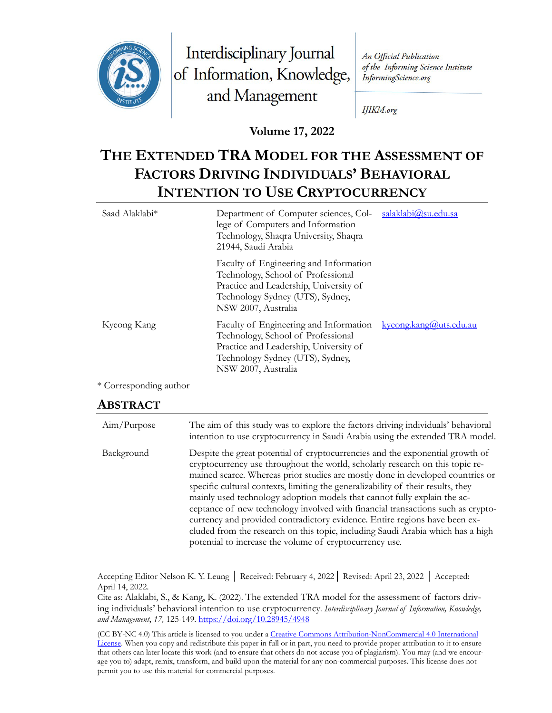

Interdisciplinary Journal of Information, Knowledge, and Management

An Official Publication of the Informing Science Institute InformingScience.org

IJIKM.org

**Volume 17, 2022**

# **THE EXTENDED TRA MODEL FOR THE ASSESSMENT OF FACTORS DRIVING INDIVIDUALS' BEHAVIORAL INTENTION TO USE CRYPTOCURRENCY**

| Saad Alaklabi <sup>*</sup><br>Department of Computer sciences, Col-<br>lege of Computers and Information<br>Technology, Shaqra University, Shaqra<br>21944, Saudi Arabia |                                                                                                                                                                                   | salaklabi@su.edu.sa              |  |
|--------------------------------------------------------------------------------------------------------------------------------------------------------------------------|-----------------------------------------------------------------------------------------------------------------------------------------------------------------------------------|----------------------------------|--|
|                                                                                                                                                                          | Faculty of Engineering and Information<br>Technology, School of Professional<br>Practice and Leadership, University of<br>Technology Sydney (UTS), Sydney,<br>NSW 2007, Australia |                                  |  |
| Kyeong Kang                                                                                                                                                              | Faculty of Engineering and Information<br>Technology, School of Professional<br>Practice and Leadership, University of<br>Technology Sydney (UTS), Sydney,<br>NSW 2007, Australia | <u>kyeong.kang(a)</u> uts.edu.au |  |

\* Corresponding author

#### **ABSTRACT**

| Aim/Purpose | The aim of this study was to explore the factors driving individuals' behavioral<br>intention to use cryptocurrency in Saudi Arabia using the extended TRA model.                                                                                                                                                                                                                                                                                                                                                                                                                                                                                                                                                               |
|-------------|---------------------------------------------------------------------------------------------------------------------------------------------------------------------------------------------------------------------------------------------------------------------------------------------------------------------------------------------------------------------------------------------------------------------------------------------------------------------------------------------------------------------------------------------------------------------------------------------------------------------------------------------------------------------------------------------------------------------------------|
| Background  | Despite the great potential of cryptocurrencies and the exponential growth of<br>cryptocurrency use throughout the world, scholarly research on this topic re-<br>mained scarce. Whereas prior studies are mostly done in developed countries or<br>specific cultural contexts, limiting the generalizability of their results, they<br>mainly used technology adoption models that cannot fully explain the ac-<br>ceptance of new technology involved with financial transactions such as crypto-<br>currency and provided contradictory evidence. Entire regions have been ex-<br>cluded from the research on this topic, including Saudi Arabia which has a high<br>potential to increase the volume of cryptocurrency use. |

Accepting Editor Nelson K. Y. Leung │ Received: February 4, 2022│ Revised: April 23, 2022 │ Accepted: April 14, 2022.

Cite as: Alaklabi, S., & Kang, K. (2022). The extended TRA model for the assessment of factors driving individuals' behavioral intention to use cryptocurrency. *Interdisciplinary Journal of Information, Knowledge, and Management*, *17,* 125-149.<https://doi.org/10.28945/4948>

(CC BY-NC 4.0) This article is licensed to you under a [Creative Commons Attribution-NonCommercial 4.0 International](https://creativecommons.org/licenses/by-nc/4.0/)  [License.](https://creativecommons.org/licenses/by-nc/4.0/) When you copy and redistribute this paper in full or in part, you need to provide proper attribution to it to ensure that others can later locate this work (and to ensure that others do not accuse you of plagiarism). You may (and we encourage you to) adapt, remix, transform, and build upon the material for any non-commercial purposes. This license does not permit you to use this material for commercial purposes.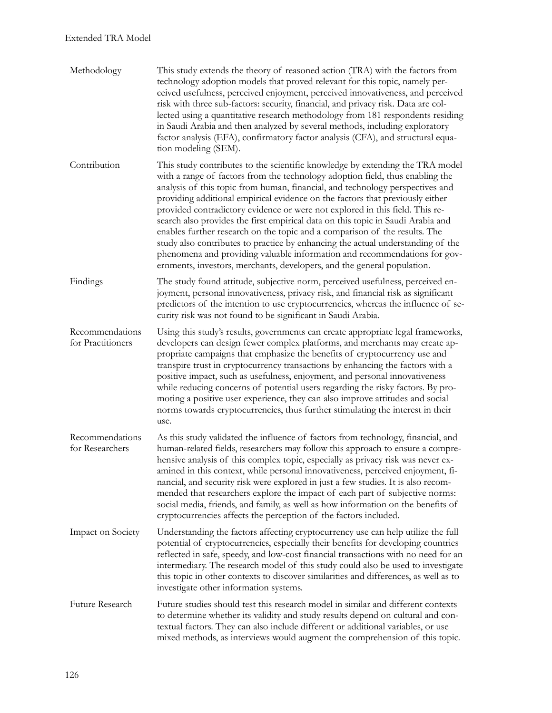| Methodology                          | This study extends the theory of reasoned action (TRA) with the factors from<br>technology adoption models that proved relevant for this topic, namely per-<br>ceived usefulness, perceived enjoyment, perceived innovativeness, and perceived<br>risk with three sub-factors: security, financial, and privacy risk. Data are col-<br>lected using a quantitative research methodology from 181 respondents residing<br>in Saudi Arabia and then analyzed by several methods, including exploratory<br>factor analysis (EFA), confirmatory factor analysis (CFA), and structural equa-<br>tion modeling (SEM).                                                                                                                                                                                                              |
|--------------------------------------|------------------------------------------------------------------------------------------------------------------------------------------------------------------------------------------------------------------------------------------------------------------------------------------------------------------------------------------------------------------------------------------------------------------------------------------------------------------------------------------------------------------------------------------------------------------------------------------------------------------------------------------------------------------------------------------------------------------------------------------------------------------------------------------------------------------------------|
| Contribution                         | This study contributes to the scientific knowledge by extending the TRA model<br>with a range of factors from the technology adoption field, thus enabling the<br>analysis of this topic from human, financial, and technology perspectives and<br>providing additional empirical evidence on the factors that previously either<br>provided contradictory evidence or were not explored in this field. This re-<br>search also provides the first empirical data on this topic in Saudi Arabia and<br>enables further research on the topic and a comparison of the results. The<br>study also contributes to practice by enhancing the actual understanding of the<br>phenomena and providing valuable information and recommendations for gov-<br>ernments, investors, merchants, developers, and the general population. |
| Findings                             | The study found attitude, subjective norm, perceived usefulness, perceived en-<br>joyment, personal innovativeness, privacy risk, and financial risk as significant<br>predictors of the intention to use cryptocurrencies, whereas the influence of se-<br>curity risk was not found to be significant in Saudi Arabia.                                                                                                                                                                                                                                                                                                                                                                                                                                                                                                     |
| Recommendations<br>for Practitioners | Using this study's results, governments can create appropriate legal frameworks,<br>developers can design fewer complex platforms, and merchants may create ap-<br>propriate campaigns that emphasize the benefits of cryptocurrency use and<br>transpire trust in cryptocurrency transactions by enhancing the factors with a<br>positive impact, such as usefulness, enjoyment, and personal innovativeness<br>while reducing concerns of potential users regarding the risky factors. By pro-<br>moting a positive user experience, they can also improve attitudes and social<br>norms towards cryptocurrencies, thus further stimulating the interest in their<br>use.                                                                                                                                                  |
| Recommendations<br>for Researchers   | As this study validated the influence of factors from technology, financial, and<br>human-related fields, researchers may follow this approach to ensure a compre-<br>hensive analysis of this complex topic, especially as privacy risk was never ex-<br>amined in this context, while personal innovativeness, perceived enjoyment, fi-<br>nancial, and security risk were explored in just a few studies. It is also recom-<br>mended that researchers explore the impact of each part of subjective norms:<br>social media, friends, and family, as well as how information on the benefits of<br>cryptocurrencies affects the perception of the factors included.                                                                                                                                                       |
| Impact on Society                    | Understanding the factors affecting cryptocurrency use can help utilize the full<br>potential of cryptocurrencies, especially their benefits for developing countries<br>reflected in safe, speedy, and low-cost financial transactions with no need for an<br>intermediary. The research model of this study could also be used to investigate<br>this topic in other contexts to discover similarities and differences, as well as to<br>investigate other information systems.                                                                                                                                                                                                                                                                                                                                            |
| Future Research                      | Future studies should test this research model in similar and different contexts<br>to determine whether its validity and study results depend on cultural and con-<br>textual factors. They can also include different or additional variables, or use<br>mixed methods, as interviews would augment the comprehension of this topic.                                                                                                                                                                                                                                                                                                                                                                                                                                                                                       |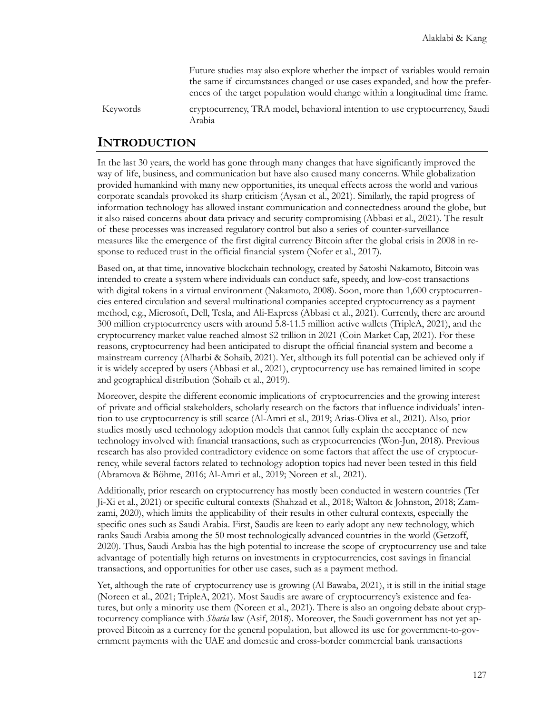Future studies may also explore whether the impact of variables would remain the same if circumstances changed or use cases expanded, and how the preferences of the target population would change within a longitudinal time frame.

Keywords cryptocurrency, TRA model, behavioral intention to use cryptocurrency, Saudi Arabia

### **INTRODUCTION**

In the last 30 years, the world has gone through many changes that have significantly improved the way of life, business, and communication but have also caused many concerns. While globalization provided humankind with many new opportunities, its unequal effects across the world and various corporate scandals provoked its sharp criticism (Aysan et al., 2021). Similarly, the rapid progress of information technology has allowed instant communication and connectedness around the globe, but it also raised concerns about data privacy and security compromising (Abbasi et al., 2021). The result of these processes was increased regulatory control but also a series of counter-surveillance measures like the emergence of the first digital currency Bitcoin after the global crisis in 2008 in response to reduced trust in the official financial system (Nofer et al., 2017).

Based on, at that time, innovative blockchain technology, created by Satoshi Nakamoto, Bitcoin was intended to create a system where individuals can conduct safe, speedy, and low-cost transactions with digital tokens in a virtual environment (Nakamoto, 2008). Soon, more than 1,600 cryptocurrencies entered circulation and several multinational companies accepted cryptocurrency as a payment method, e.g., Microsoft, Dell, Tesla, and Ali-Express (Abbasi et al., 2021). Currently, there are around 300 million cryptocurrency users with around 5.8-11.5 million active wallets (TripleA, 2021), and the cryptocurrency market value reached almost \$2 trillion in 2021 (Coin Market Cap, 2021). For these reasons, cryptocurrency had been anticipated to disrupt the official financial system and become a mainstream currency (Alharbi & Sohaib, 2021). Yet, although its full potential can be achieved only if it is widely accepted by users (Abbasi et al., 2021), cryptocurrency use has remained limited in scope and geographical distribution (Sohaib et al., 2019).

Moreover, despite the different economic implications of cryptocurrencies and the growing interest of private and official stakeholders, scholarly research on the factors that influence individuals' intention to use cryptocurrency is still scarce (Al-Amri et al., 2019; Arias-Oliva et al., 2021). Also, prior studies mostly used technology adoption models that cannot fully explain the acceptance of new technology involved with financial transactions, such as cryptocurrencies (Won-Jun, 2018). Previous research has also provided contradictory evidence on some factors that affect the use of cryptocurrency, while several factors related to technology adoption topics had never been tested in this field (Abramova & Böhme, 2016; Al-Amri et al., 2019; Noreen et al., 2021).

Additionally, prior research on cryptocurrency has mostly been conducted in western countries (Ter Ji-Xi et al., 2021) or specific cultural contexts (Shahzad et al., 2018; Walton & Johnston, 2018; Zamzami, 2020), which limits the applicability of their results in other cultural contexts, especially the specific ones such as Saudi Arabia. First, Saudis are keen to early adopt any new technology, which ranks Saudi Arabia among the 50 most technologically advanced countries in the world (Getzoff, 2020). Thus, Saudi Arabia has the high potential to increase the scope of cryptocurrency use and take advantage of potentially high returns on investments in cryptocurrencies, cost savings in financial transactions, and opportunities for other use cases, such as a payment method.

Yet, although the rate of cryptocurrency use is growing (Al Bawaba, 2021), it is still in the initial stage (Noreen et al., 2021; TripleA, 2021). Most Saudis are aware of cryptocurrency's existence and features, but only a minority use them (Noreen et al., 2021). There is also an ongoing debate about cryptocurrency compliance with *Sharia* law (Asif, 2018). Moreover, the Saudi government has not yet approved Bitcoin as a currency for the general population, but allowed its use for government-to-government payments with the UAE and domestic and cross-border commercial bank transactions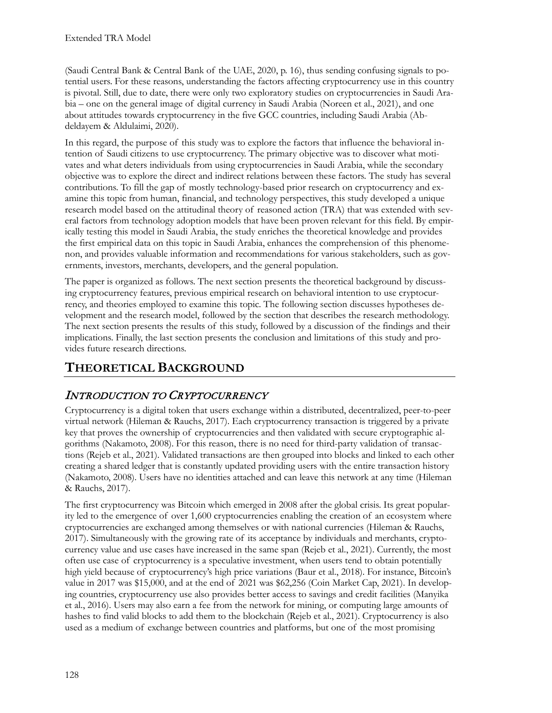(Saudi Central Bank & Central Bank of the UAE, 2020, p. 16), thus sending confusing signals to potential users. For these reasons, understanding the factors affecting cryptocurrency use in this country is pivotal. Still, due to date, there were only two exploratory studies on cryptocurrencies in Saudi Arabia – one on the general image of digital currency in Saudi Arabia (Noreen et al., 2021), and one about attitudes towards cryptocurrency in the five GCC countries, including Saudi Arabia (Abdeldayem & Aldulaimi, 2020).

In this regard, the purpose of this study was to explore the factors that influence the behavioral intention of Saudi citizens to use cryptocurrency. The primary objective was to discover what motivates and what deters individuals from using cryptocurrencies in Saudi Arabia, while the secondary objective was to explore the direct and indirect relations between these factors. The study has several contributions. To fill the gap of mostly technology-based prior research on cryptocurrency and examine this topic from human, financial, and technology perspectives, this study developed a unique research model based on the attitudinal theory of reasoned action (TRA) that was extended with several factors from technology adoption models that have been proven relevant for this field. By empirically testing this model in Saudi Arabia, the study enriches the theoretical knowledge and provides the first empirical data on this topic in Saudi Arabia, enhances the comprehension of this phenomenon, and provides valuable information and recommendations for various stakeholders, such as governments, investors, merchants, developers, and the general population.

The paper is organized as follows. The next section presents the theoretical background by discussing cryptocurrency features, previous empirical research on behavioral intention to use cryptocurrency, and theories employed to examine this topic. The following section discusses hypotheses development and the research model, followed by the section that describes the research methodology. The next section presents the results of this study, followed by a discussion of the findings and their implications. Finally, the last section presents the conclusion and limitations of this study and provides future research directions.

# **THEORETICAL BACKGROUND**

# INTRODUCTION TO CRYPTOCURRENCY

Cryptocurrency is a digital token that users exchange within a distributed, decentralized, peer-to-peer virtual network (Hileman & Rauchs, 2017). Each cryptocurrency transaction is triggered by a private key that proves the ownership of cryptocurrencies and then validated with secure cryptographic algorithms (Nakamoto, 2008). For this reason, there is no need for third-party validation of transactions (Rejeb et al., 2021). Validated transactions are then grouped into blocks and linked to each other creating a shared ledger that is constantly updated providing users with the entire transaction history (Nakamoto, 2008). Users have no identities attached and can leave this network at any time (Hileman & Rauchs, 2017).

The first cryptocurrency was Bitcoin which emerged in 2008 after the global crisis. Its great popularity led to the emergence of over 1,600 cryptocurrencies enabling the creation of an ecosystem where cryptocurrencies are exchanged among themselves or with national currencies (Hileman & Rauchs, 2017). Simultaneously with the growing rate of its acceptance by individuals and merchants, cryptocurrency value and use cases have increased in the same span (Rejeb et al., 2021). Currently, the most often use case of cryptocurrency is a speculative investment, when users tend to obtain potentially high yield because of cryptocurrency's high price variations (Baur et al., 2018). For instance, Bitcoin's value in 2017 was \$15,000, and at the end of 2021 was \$62,256 (Coin Market Cap, 2021). In developing countries, cryptocurrency use also provides better access to savings and credit facilities (Manyika et al., 2016). Users may also earn a fee from the network for mining, or computing large amounts of hashes to find valid blocks to add them to the blockchain (Rejeb et al., 2021). Cryptocurrency is also used as a medium of exchange between countries and platforms, but one of the most promising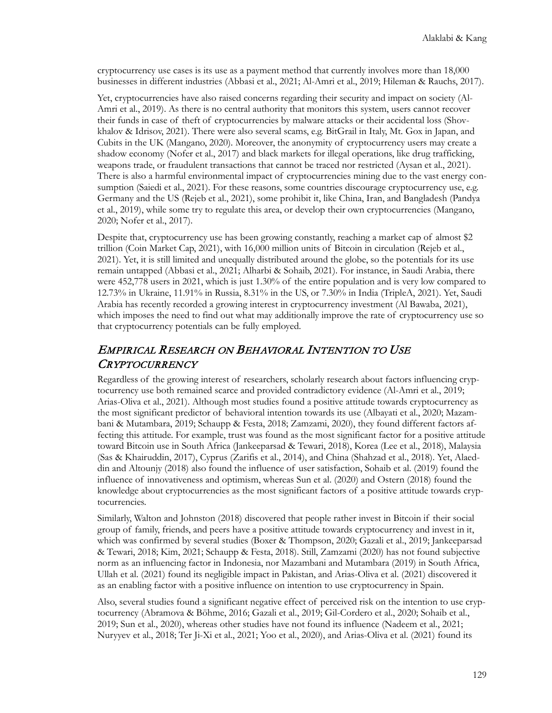cryptocurrency use cases is its use as a payment method that currently involves more than 18,000 businesses in different industries (Abbasi et al., 2021; Al-Amri et al., 2019; Hileman & Rauchs, 2017).

Yet, cryptocurrencies have also raised concerns regarding their security and impact on society (Al-Amri et al., 2019). As there is no central authority that monitors this system, users cannot recover their funds in case of theft of cryptocurrencies by malware attacks or their accidental loss (Shovkhalov & Idrisov, 2021). There were also several scams, e.g. BitGrail in Italy, Mt. Gox in Japan, and Cubits in the UK (Mangano, 2020). Moreover, the anonymity of cryptocurrency users may create a shadow economy (Nofer et al., 2017) and black markets for illegal operations, like drug trafficking, weapons trade, or fraudulent transactions that cannot be traced nor restricted (Aysan et al., 2021). There is also a harmful environmental impact of cryptocurrencies mining due to the vast energy consumption (Saiedi et al., 2021). For these reasons, some countries discourage cryptocurrency use, e.g. Germany and the US (Rejeb et al., 2021), some prohibit it, like China, Iran, and Bangladesh (Pandya et al., 2019), while some try to regulate this area, or develop their own cryptocurrencies (Mangano, 2020; Nofer et al., 2017).

Despite that, cryptocurrency use has been growing constantly, reaching a market cap of almost \$2 trillion (Coin Market Cap, 2021), with 16,000 million units of Bitcoin in circulation (Rejeb et al., 2021). Yet, it is still limited and unequally distributed around the globe, so the potentials for its use remain untapped (Abbasi et al., 2021; Alharbi & Sohaib, 2021). For instance, in Saudi Arabia, there were 452,778 users in 2021, which is just 1.30% of the entire population and is very low compared to 12.73% in Ukraine, 11.91% in Russia, 8.31% in the US, or 7.30% in India (TripleA, 2021). Yet, Saudi Arabia has recently recorded a growing interest in cryptocurrency investment (Al Bawaba, 2021), which imposes the need to find out what may additionally improve the rate of cryptocurrency use so that cryptocurrency potentials can be fully employed.

### EMPIRICAL RESEARCH ON BEHAVIORAL INTENTION TO USE **CRYPTOCURRENCY**

Regardless of the growing interest of researchers, scholarly research about factors influencing cryptocurrency use both remained scarce and provided contradictory evidence (Al-Amri et al., 2019; Arias-Oliva et al., 2021). Although most studies found a positive attitude towards cryptocurrency as the most significant predictor of behavioral intention towards its use (Albayati et al., 2020; Mazambani & Mutambara, 2019; Schaupp & Festa, 2018; Zamzami, 2020), they found different factors affecting this attitude. For example, trust was found as the most significant factor for a positive attitude toward Bitcoin use in South Africa (Jankeeparsad & Tewari, 2018), Korea (Lee et al., 2018), Malaysia (Sas & Khairuddin, 2017), Cyprus (Zarifis et al., 2014), and China (Shahzad et al., 2018). Yet, Alaeddin and Altounjy (2018) also found the influence of user satisfaction, Sohaib et al. (2019) found the influence of innovativeness and optimism, whereas Sun et al. (2020) and Ostern (2018) found the knowledge about cryptocurrencies as the most significant factors of a positive attitude towards cryptocurrencies.

Similarly, Walton and Johnston (2018) discovered that people rather invest in Bitcoin if their social group of family, friends, and peers have a positive attitude towards cryptocurrency and invest in it, which was confirmed by several studies (Boxer & Thompson, 2020; Gazali et al., 2019; Jankeeparsad & Tewari, 2018; Kim, 2021; Schaupp & Festa, 2018). Still, Zamzami (2020) has not found subjective norm as an influencing factor in Indonesia, nor Mazambani and Mutambara (2019) in South Africa, Ullah et al. (2021) found its negligible impact in Pakistan, and Arias-Oliva et al. (2021) discovered it as an enabling factor with a positive influence on intention to use cryptocurrency in Spain.

Also, several studies found a significant negative effect of perceived risk on the intention to use cryptocurrency (Abramova & Böhme, 2016; Gazali et al., 2019; Gil-Cordero et al., 2020; Sohaib et al., 2019; Sun et al., 2020), whereas other studies have not found its influence (Nadeem et al., 2021; Nuryyev et al., 2018; Ter Ji-Xi et al., 2021; Yoo et al., 2020), and Arias-Oliva et al. (2021) found its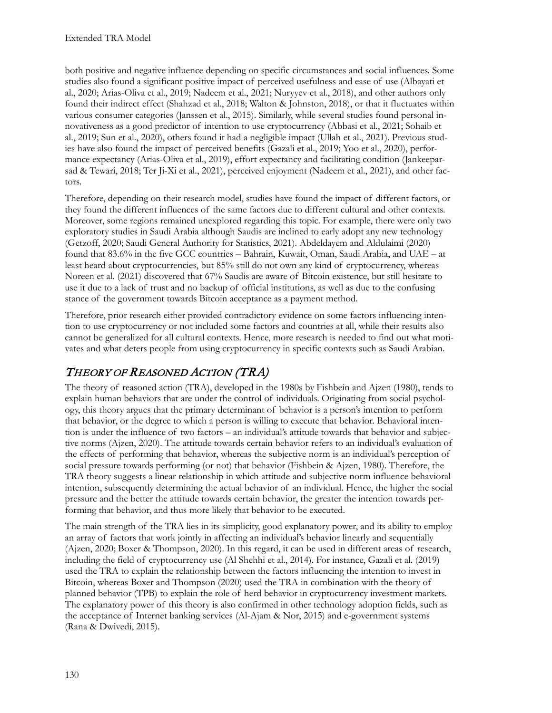both positive and negative influence depending on specific circumstances and social influences. Some studies also found a significant positive impact of perceived usefulness and ease of use (Albayati et al., 2020; Arias-Oliva et al., 2019; Nadeem et al., 2021; Nuryyev et al., 2018), and other authors only found their indirect effect (Shahzad et al., 2018; Walton & Johnston, 2018), or that it fluctuates within various consumer categories (Janssen et al., 2015). Similarly, while several studies found personal innovativeness as a good predictor of intention to use cryptocurrency (Abbasi et al., 2021; Sohaib et al., 2019; Sun et al., 2020), others found it had a negligible impact (Ullah et al., 2021). Previous studies have also found the impact of perceived benefits (Gazali et al., 2019; Yoo et al., 2020), performance expectancy (Arias-Oliva et al., 2019), effort expectancy and facilitating condition (Jankeeparsad & Tewari, 2018; Ter Ji-Xi et al., 2021), perceived enjoyment (Nadeem et al., 2021), and other factors.

Therefore, depending on their research model, studies have found the impact of different factors, or they found the different influences of the same factors due to different cultural and other contexts. Moreover, some regions remained unexplored regarding this topic. For example, there were only two exploratory studies in Saudi Arabia although Saudis are inclined to early adopt any new technology (Getzoff, 2020; Saudi General Authority for Statistics, 2021). Abdeldayem and Aldulaimi (2020) found that 83.6% in the five GCC countries – Bahrain, Kuwait, Oman, Saudi Arabia, and UAE – at least heard about cryptocurrencies, but 85% still do not own any kind of cryptocurrency, whereas Noreen et al. (2021) discovered that 67% Saudis are aware of Bitcoin existence, but still hesitate to use it due to a lack of trust and no backup of official institutions, as well as due to the confusing stance of the government towards Bitcoin acceptance as a payment method.

Therefore, prior research either provided contradictory evidence on some factors influencing intention to use cryptocurrency or not included some factors and countries at all, while their results also cannot be generalized for all cultural contexts. Hence, more research is needed to find out what motivates and what deters people from using cryptocurrency in specific contexts such as Saudi Arabian.

# THEORY OF REASONED ACTION (TRA)

The theory of reasoned action (TRA), developed in the 1980s by Fishbein and Ajzen (1980), tends to explain human behaviors that are under the control of individuals. Originating from social psychology, this theory argues that the primary determinant of behavior is a person's intention to perform that behavior, or the degree to which a person is willing to execute that behavior. Behavioral intention is under the influence of two factors – an individual's attitude towards that behavior and subjective norms (Ajzen, 2020). The attitude towards certain behavior refers to an individual's evaluation of the effects of performing that behavior, whereas the subjective norm is an individual's perception of social pressure towards performing (or not) that behavior (Fishbein & Ajzen, 1980). Therefore, the TRA theory suggests a linear relationship in which attitude and subjective norm influence behavioral intention, subsequently determining the actual behavior of an individual. Hence, the higher the social pressure and the better the attitude towards certain behavior, the greater the intention towards performing that behavior, and thus more likely that behavior to be executed.

The main strength of the TRA lies in its simplicity, good explanatory power, and its ability to employ an array of factors that work jointly in affecting an individual's behavior linearly and sequentially (Ajzen, 2020; Boxer & Thompson, 2020). In this regard, it can be used in different areas of research, including the field of cryptocurrency use (Al Shehhi et al., 2014). For instance, Gazali et al. (2019) used the TRA to explain the relationship between the factors influencing the intention to invest in Bitcoin, whereas Boxer and Thompson (2020) used the TRA in combination with the theory of planned behavior (TPB) to explain the role of herd behavior in cryptocurrency investment markets. The explanatory power of this theory is also confirmed in other technology adoption fields, such as the acceptance of Internet banking services (Al-Ajam & Nor, 2015) and e-government systems (Rana & Dwivedi, 2015).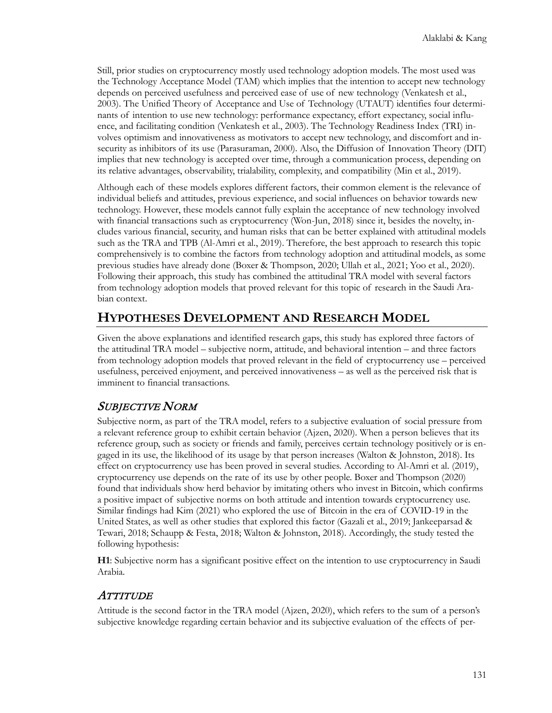Still, prior studies on cryptocurrency mostly used technology adoption models. The most used was the Technology Acceptance Model (TAM) which implies that the intention to accept new technology depends on perceived usefulness and perceived ease of use of new technology (Venkatesh et al., 2003). The Unified Theory of Acceptance and Use of Technology (UTAUT) identifies four determinants of intention to use new technology: performance expectancy, effort expectancy, social influence, and facilitating condition (Venkatesh et al., 2003). The Technology Readiness Index (TRI) involves optimism and innovativeness as motivators to accept new technology, and discomfort and insecurity as inhibitors of its use (Parasuraman, 2000). Also, the Diffusion of Innovation Theory (DIT) implies that new technology is accepted over time, through a communication process, depending on its relative advantages, observability, trialability, complexity, and compatibility (Min et al., 2019).

Although each of these models explores different factors, their common element is the relevance of individual beliefs and attitudes, previous experience, and social influences on behavior towards new technology. However, these models cannot fully explain the acceptance of new technology involved with financial transactions such as cryptocurrency (Won-Jun, 2018) since it, besides the novelty, includes various financial, security, and human risks that can be better explained with attitudinal models such as the TRA and TPB (Al-Amri et al., 2019). Therefore, the best approach to research this topic comprehensively is to combine the factors from technology adoption and attitudinal models, as some previous studies have already done (Boxer & Thompson, 2020; Ullah et al., 2021; Yoo et al., 2020). Following their approach, this study has combined the attitudinal TRA model with several factors from technology adoption models that proved relevant for this topic of research in the Saudi Arabian context.

# **HYPOTHESES DEVELOPMENT AND RESEARCH MODEL**

Given the above explanations and identified research gaps, this study has explored three factors of the attitudinal TRA model – subjective norm, attitude, and behavioral intention – and three factors from technology adoption models that proved relevant in the field of cryptocurrency use – perceived usefulness, perceived enjoyment, and perceived innovativeness – as well as the perceived risk that is imminent to financial transactions.

# SUBJECTIVE NORM

Subjective norm, as part of the TRA model, refers to a subjective evaluation of social pressure from a relevant reference group to exhibit certain behavior (Ajzen, 2020). When a person believes that its reference group, such as society or friends and family, perceives certain technology positively or is engaged in its use, the likelihood of its usage by that person increases (Walton & Johnston, 2018). Its effect on cryptocurrency use has been proved in several studies. According to Al-Amri et al. (2019), cryptocurrency use depends on the rate of its use by other people. Boxer and Thompson (2020) found that individuals show herd behavior by imitating others who invest in Bitcoin, which confirms a positive impact of subjective norms on both attitude and intention towards cryptocurrency use. Similar findings had Kim (2021) who explored the use of Bitcoin in the era of COVID-19 in the United States, as well as other studies that explored this factor (Gazali et al., 2019; Jankeeparsad & Tewari, 2018; Schaupp & Festa, 2018; Walton & Johnston, 2018). Accordingly, the study tested the following hypothesis:

**H1**: Subjective norm has a significant positive effect on the intention to use cryptocurrency in Saudi Arabia.

### **ATTITUDE**

Attitude is the second factor in the TRA model (Ajzen, 2020), which refers to the sum of a person's subjective knowledge regarding certain behavior and its subjective evaluation of the effects of per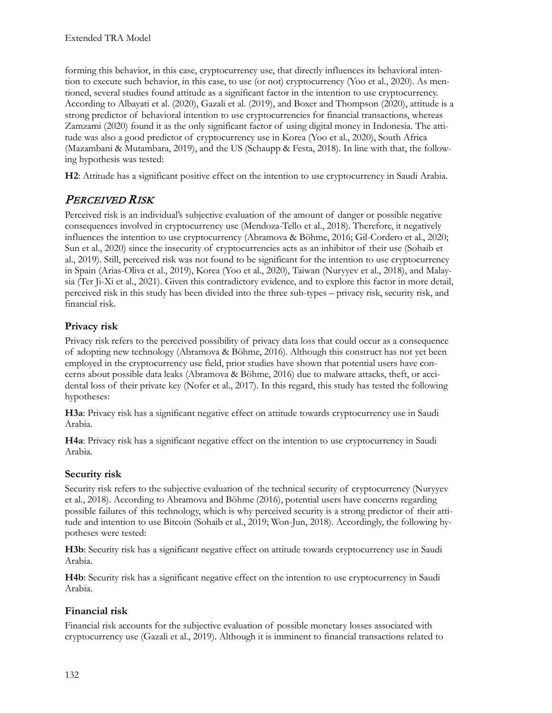forming this behavior, in this case, cryptocurrency use, that directly influences its behavioral intention to execute such behavior, in this case, to use (or not) cryptocurrency (Yoo et al., 2020). As mentioned, several studies found attitude as a significant factor in the intention to use cryptocurrency. According to Albayati et al. (2020), Gazali et al. (2019), and Boxer and Thompson (2020), attitude is a strong predictor of behavioral intention to use cryptocurrencies for financial transactions, whereas Zamzami (2020) found it as the only significant factor of using digital money in Indonesia. The attitude was also a good predictor of cryptocurrency use in Korea (Yoo et al., 2020), South Africa (Mazambani & Mutambara, 2019), and the US (Schaupp & Festa, 2018). In line with that, the following hypothesis was tested:

**H2**: Attitude has a significant positive effect on the intention to use cryptocurrency in Saudi Arabia.

### PERCEIVED RISK

Perceived risk is an individual's subjective evaluation of the amount of danger or possible negative consequences involved in cryptocurrency use (Mendoza-Tello et al., 2018). Therefore, it negatively influences the intention to use cryptocurrency (Abramova & Böhme, 2016; Gil-Cordero et al., 2020; Sun et al., 2020) since the insecurity of cryptocurrencies acts as an inhibitor of their use (Sohaib et al., 2019). Still, perceived risk was not found to be significant for the intention to use cryptocurrency in Spain (Arias-Oliva et al., 2019), Korea (Yoo et al., 2020), Taiwan (Nuryyev et al., 2018), and Malaysia (Ter Ji-Xi et al., 2021). Given this contradictory evidence, and to explore this factor in more detail, perceived risk in this study has been divided into the three sub-types – privacy risk, security risk, and financial risk.

#### **Privacy risk**

Privacy risk refers to the perceived possibility of privacy data loss that could occur as a consequence of adopting new technology (Abramova & Böhme, 2016). Although this construct has not yet been employed in the cryptocurrency use field, prior studies have shown that potential users have concerns about possible data leaks (Abramova & Böhme, 2016) due to malware attacks, theft, or accidental loss of their private key (Nofer et al., 2017). In this regard, this study has tested the following hypotheses:

**H3a**: Privacy risk has a significant negative effect on attitude towards cryptocurrency use in Saudi Arabia.

**H4a**: Privacy risk has a significant negative effect on the intention to use cryptocurrency in Saudi Arabia.

#### **Security risk**

Security risk refers to the subjective evaluation of the technical security of cryptocurrency (Nuryyev et al., 2018). According to Abramova and Böhme (2016), potential users have concerns regarding possible failures of this technology, which is why perceived security is a strong predictor of their attitude and intention to use Bitcoin (Sohaib et al., 2019; Won-Jun, 2018). Accordingly, the following hypotheses were tested:

**H3b**: Security risk has a significant negative effect on attitude towards cryptocurrency use in Saudi Arabia.

**H4b**: Security risk has a significant negative effect on the intention to use cryptocurrency in Saudi Arabia.

#### **Financial risk**

Financial risk accounts for the subjective evaluation of possible monetary losses associated with cryptocurrency use (Gazali et al., 2019). Although it is imminent to financial transactions related to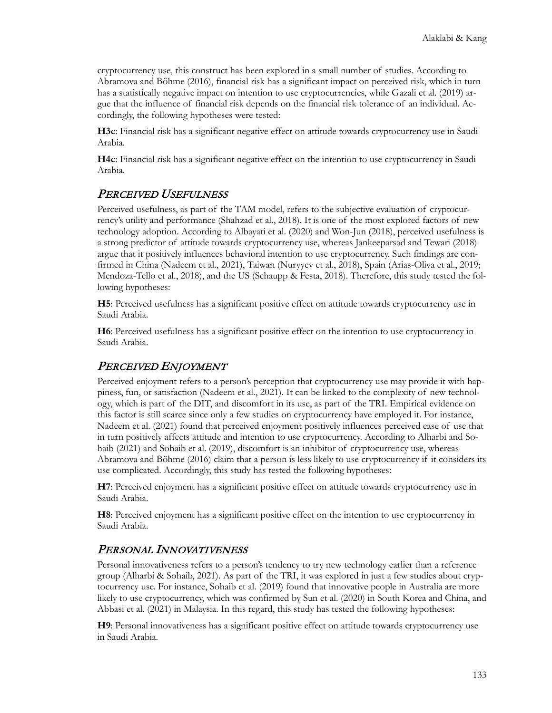cryptocurrency use, this construct has been explored in a small number of studies. According to Abramova and Böhme (2016), financial risk has a significant impact on perceived risk, which in turn has a statistically negative impact on intention to use cryptocurrencies, while Gazali et al. (2019) argue that the influence of financial risk depends on the financial risk tolerance of an individual. Accordingly, the following hypotheses were tested:

**H3c**: Financial risk has a significant negative effect on attitude towards cryptocurrency use in Saudi Arabia.

**H4c**: Financial risk has a significant negative effect on the intention to use cryptocurrency in Saudi Arabia.

#### PERCEIVED USEFULNESS

Perceived usefulness, as part of the TAM model, refers to the subjective evaluation of cryptocurrency's utility and performance (Shahzad et al., 2018). It is one of the most explored factors of new technology adoption. According to Albayati et al. (2020) and Won-Jun (2018), perceived usefulness is a strong predictor of attitude towards cryptocurrency use, whereas Jankeeparsad and Tewari (2018) argue that it positively influences behavioral intention to use cryptocurrency. Such findings are confirmed in China (Nadeem et al., 2021), Taiwan (Nuryyev et al., 2018), Spain (Arias-Oliva et al., 2019; Mendoza-Tello et al., 2018), and the US (Schaupp & Festa, 2018). Therefore, this study tested the following hypotheses:

**H5**: Perceived usefulness has a significant positive effect on attitude towards cryptocurrency use in Saudi Arabia.

**H6**: Perceived usefulness has a significant positive effect on the intention to use cryptocurrency in Saudi Arabia.

### PERCEIVED ENJOYMENT

Perceived enjoyment refers to a person's perception that cryptocurrency use may provide it with happiness, fun, or satisfaction (Nadeem et al., 2021). It can be linked to the complexity of new technology, which is part of the DIT, and discomfort in its use, as part of the TRI. Empirical evidence on this factor is still scarce since only a few studies on cryptocurrency have employed it. For instance, Nadeem et al. (2021) found that perceived enjoyment positively influences perceived ease of use that in turn positively affects attitude and intention to use cryptocurrency. According to Alharbi and Sohaib (2021) and Sohaib et al. (2019), discomfort is an inhibitor of cryptocurrency use, whereas Abramova and Böhme (2016) claim that a person is less likely to use cryptocurrency if it considers its use complicated. Accordingly, this study has tested the following hypotheses:

**H7**: Perceived enjoyment has a significant positive effect on attitude towards cryptocurrency use in Saudi Arabia.

**H8**: Perceived enjoyment has a significant positive effect on the intention to use cryptocurrency in Saudi Arabia.

### PERSONAL INNOVATIVENESS

Personal innovativeness refers to a person's tendency to try new technology earlier than a reference group (Alharbi & Sohaib, 2021). As part of the TRI, it was explored in just a few studies about cryptocurrency use. For instance, Sohaib et al. (2019) found that innovative people in Australia are more likely to use cryptocurrency, which was confirmed by Sun et al. (2020) in South Korea and China, and Abbasi et al. (2021) in Malaysia. In this regard, this study has tested the following hypotheses:

**H9**: Personal innovativeness has a significant positive effect on attitude towards cryptocurrency use in Saudi Arabia.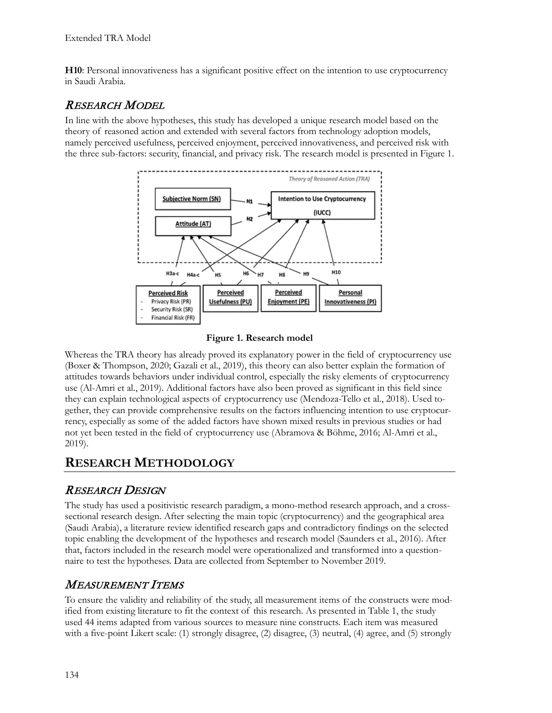**H10**: Personal innovativeness has a significant positive effect on the intention to use cryptocurrency in Saudi Arabia.

#### RESEARCH MODEL

In line with the above hypotheses, this study has developed a unique research model based on the theory of reasoned action and extended with several factors from technology adoption models, namely perceived usefulness, perceived enjoyment, perceived innovativeness, and perceived risk with the three sub-factors: security, financial, and privacy risk. The research model is presented in Figure 1.



**Figure 1. Research model**

Whereas the TRA theory has already proved its explanatory power in the field of cryptocurrency use (Boxer & Thompson, 2020; Gazali et al., 2019), this theory can also better explain the formation of attitudes towards behaviors under individual control, especially the risky elements of cryptocurrency use (Al-Amri et al., 2019). Additional factors have also been proved as significant in this field since they can explain technological aspects of cryptocurrency use (Mendoza-Tello et al., 2018). Used together, they can provide comprehensive results on the factors influencing intention to use cryptocurrency, especially as some of the added factors have shown mixed results in previous studies or had not yet been tested in the field of cryptocurrency use (Abramova & Böhme, 2016; Al-Amri et al., 2019).

### **RESEARCH METHODOLOGY**

### RESEARCH DESIGN

The study has used a positivistic research paradigm, a mono-method research approach, and a crosssectional research design. After selecting the main topic (cryptocurrency) and the geographical area (Saudi Arabia), a literature review identified research gaps and contradictory findings on the selected topic enabling the development of the hypotheses and research model (Saunders et al., 2016). After that, factors included in the research model were operationalized and transformed into a questionnaire to test the hypotheses. Data are collected from September to November 2019.

### MEASUREMENT ITEMS

To ensure the validity and reliability of the study, all measurement items of the constructs were modified from existing literature to fit the context of this research. As presented in Table 1, the study used 44 items adapted from various sources to measure nine constructs. Each item was measured with a five-point Likert scale: (1) strongly disagree, (2) disagree, (3) neutral, (4) agree, and (5) strongly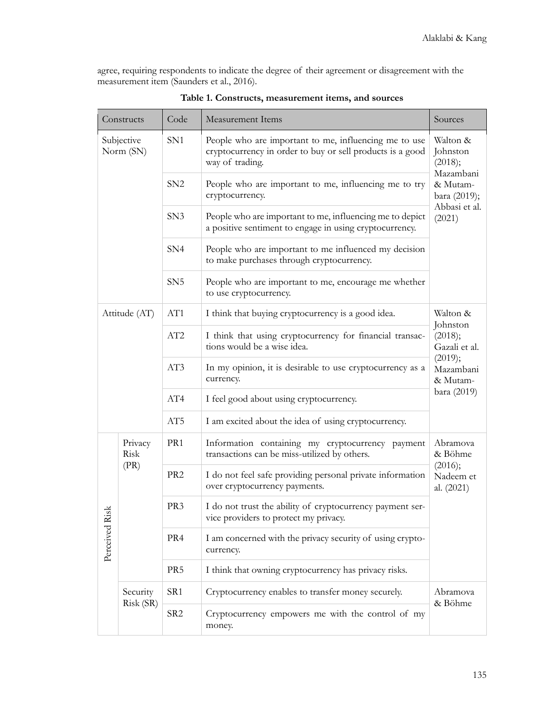agree, requiring respondents to indicate the degree of their agreement or disagreement with the measurement item (Saunders et al., 2016).

|                                                                      | Constructs             | Code            | <b>Measurement Items</b>                                                                                                                                                                                                                      | Sources                                                                                             |  |
|----------------------------------------------------------------------|------------------------|-----------------|-----------------------------------------------------------------------------------------------------------------------------------------------------------------------------------------------------------------------------------------------|-----------------------------------------------------------------------------------------------------|--|
| SN <sub>1</sub><br>Subjective<br>Norm (SN)<br>SN2<br>SN <sub>3</sub> |                        |                 | People who are important to me, influencing me to use<br>cryptocurrency in order to buy or sell products is a good<br>way of trading.                                                                                                         | Walton &<br>Johnston<br>(2018);<br>Mazambani<br>& Mutam-<br>bara (2019);<br>Abbasi et al.<br>(2021) |  |
|                                                                      |                        |                 | People who are important to me, influencing me to try<br>cryptocurrency.                                                                                                                                                                      |                                                                                                     |  |
|                                                                      |                        |                 | People who are important to me, influencing me to depict<br>a positive sentiment to engage in using cryptocurrency.                                                                                                                           |                                                                                                     |  |
|                                                                      |                        | SN4             | People who are important to me influenced my decision<br>to make purchases through cryptocurrency.                                                                                                                                            |                                                                                                     |  |
|                                                                      |                        | SN <sub>5</sub> | People who are important to me, encourage me whether<br>to use cryptocurrency.                                                                                                                                                                |                                                                                                     |  |
|                                                                      | Attitude (AT)          | AT1             | I think that buying cryptocurrency is a good idea.                                                                                                                                                                                            | Walton &                                                                                            |  |
| AT2<br>AT3                                                           |                        |                 | Johnston<br>I think that using cryptocurrency for financial transac-<br>(2018);<br>tions would be a wise idea.<br>Gazali et al.<br>(2019);<br>In my opinion, it is desirable to use cryptocurrency as a<br>Mazambani<br>currency.<br>& Mutam- |                                                                                                     |  |
|                                                                      |                        |                 |                                                                                                                                                                                                                                               |                                                                                                     |  |
| AT4                                                                  |                        |                 | I feel good about using cryptocurrency.                                                                                                                                                                                                       | bara (2019)                                                                                         |  |
| AT <sub>5</sub>                                                      |                        |                 | I am excited about the idea of using cryptocurrency.                                                                                                                                                                                          |                                                                                                     |  |
|                                                                      | Privacy<br>PR1<br>Risk |                 | Information containing my cryptocurrency payment<br>transactions can be miss-utilized by others.                                                                                                                                              | Abramova<br>& Böhme                                                                                 |  |
|                                                                      | (PR)                   | PR <sub>2</sub> | I do not feel safe providing personal private information<br>over cryptocurrency payments.                                                                                                                                                    | (2016);<br>Nadeem et<br>al. (2021)                                                                  |  |
| $s_{\rm k}$<br>Perceived Ri                                          |                        | PR3             | I do not trust the ability of cryptocurrency payment ser-<br>vice providers to protect my privacy.                                                                                                                                            |                                                                                                     |  |
|                                                                      |                        | PR <sub>4</sub> | I am concerned with the privacy security of using crypto-<br>currency.                                                                                                                                                                        |                                                                                                     |  |
|                                                                      |                        | PR <sub>5</sub> | I think that owning cryptocurrency has privacy risks.                                                                                                                                                                                         |                                                                                                     |  |
|                                                                      | Security               | SR1             | Cryptocurrency enables to transfer money securely.                                                                                                                                                                                            | Abramova                                                                                            |  |
| Risk (SR)                                                            |                        | SR <sub>2</sub> | Cryptocurrency empowers me with the control of my<br>money.                                                                                                                                                                                   | & Böhme                                                                                             |  |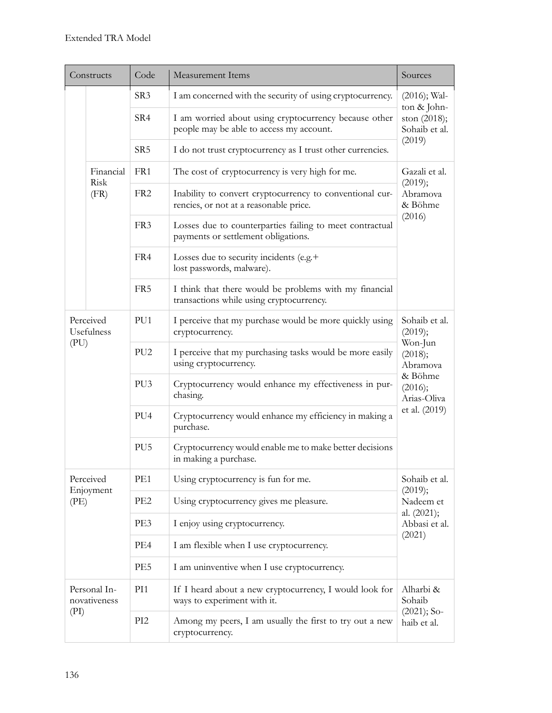| Code<br>Constructs<br><b>Measurement Items</b> |                              | Sources                                                                                                  |                                                                                                    |                                          |                                                                                  |
|------------------------------------------------|------------------------------|----------------------------------------------------------------------------------------------------------|----------------------------------------------------------------------------------------------------|------------------------------------------|----------------------------------------------------------------------------------|
|                                                | SR <sub>3</sub>              |                                                                                                          | I am concerned with the security of using cryptocurrency.                                          | $(2016)$ ; Wal-<br>ton & John-           |                                                                                  |
|                                                |                              | SR4                                                                                                      | I am worried about using cryptocurrency because other<br>people may be able to access my account.  | ston (2018);<br>Sohaib et al.            |                                                                                  |
|                                                |                              | SR <sub>5</sub>                                                                                          | I do not trust cryptocurrency as I trust other currencies.                                         | (2019)                                   |                                                                                  |
|                                                | Financial                    | FR1                                                                                                      | The cost of cryptocurrency is very high for me.                                                    | Gazali et al.                            |                                                                                  |
|                                                | Risk<br>(FR)                 | FR <sub>2</sub>                                                                                          | Inability to convert cryptocurrency to conventional cur-<br>rencies, or not at a reasonable price. | (2019);<br>Abramova<br>& Böhme<br>(2016) |                                                                                  |
|                                                |                              | FR <sub>3</sub>                                                                                          | Losses due to counterparties failing to meet contractual<br>payments or settlement obligations.    |                                          |                                                                                  |
|                                                |                              | FR4                                                                                                      | Losses due to security incidents (e.g.+<br>lost passwords, malware).                               |                                          |                                                                                  |
|                                                |                              | FR5                                                                                                      | I think that there would be problems with my financial<br>transactions while using cryptocurrency. |                                          |                                                                                  |
| Perceived<br>Usefulness                        |                              | PU1                                                                                                      | I perceive that my purchase would be more quickly using<br>cryptocurrency.                         | Sohaib et al.<br>(2019);<br>Won-Jun      |                                                                                  |
| (PU)                                           | PU <sub>2</sub>              | I perceive that my purchasing tasks would be more easily<br>(2018);<br>using cryptocurrency.<br>Abramova |                                                                                                    |                                          |                                                                                  |
|                                                | PU <sub>3</sub>              | Cryptocurrency would enhance my effectiveness in pur-<br>chasing.                                        | & Böhme<br>(2016);<br>Arias-Oliva<br>et al. (2019)                                                 |                                          |                                                                                  |
|                                                |                              | PU <sub>4</sub>                                                                                          |                                                                                                    |                                          | Cryptocurrency would enhance my efficiency in making a<br>purchase.              |
|                                                |                              | PU <sub>5</sub>                                                                                          |                                                                                                    |                                          | Cryptocurrency would enable me to make better decisions<br>in making a purchase. |
| Perceived                                      |                              | PE1<br>Using cryptocurrency is fun for me.                                                               |                                                                                                    | Sohaib et al.                            |                                                                                  |
| Enjoyment<br>(PE)                              | PE <sub>2</sub>              | Using cryptocurrency gives me pleasure.                                                                  | (2019);<br>Nadeem et<br>al. (2021);<br>Abbasi et al.<br>(2021)                                     |                                          |                                                                                  |
|                                                | PE3                          | I enjoy using cryptocurrency.                                                                            |                                                                                                    |                                          |                                                                                  |
|                                                | PE4                          | I am flexible when I use cryptocurrency.                                                                 |                                                                                                    |                                          |                                                                                  |
|                                                |                              | PE5<br>I am uninventive when I use cryptocurrency.                                                       |                                                                                                    |                                          |                                                                                  |
|                                                | Personal In-<br>novativeness | PI1                                                                                                      | If I heard about a new cryptocurrency, I would look for<br>ways to experiment with it.             | Alharbi &<br>Sohaib                      |                                                                                  |
| (PI)                                           |                              | PI <sub>2</sub><br>Among my peers, I am usually the first to try out a new<br>cryptocurrency.            |                                                                                                    | $(2021)$ ; So-<br>haib et al.            |                                                                                  |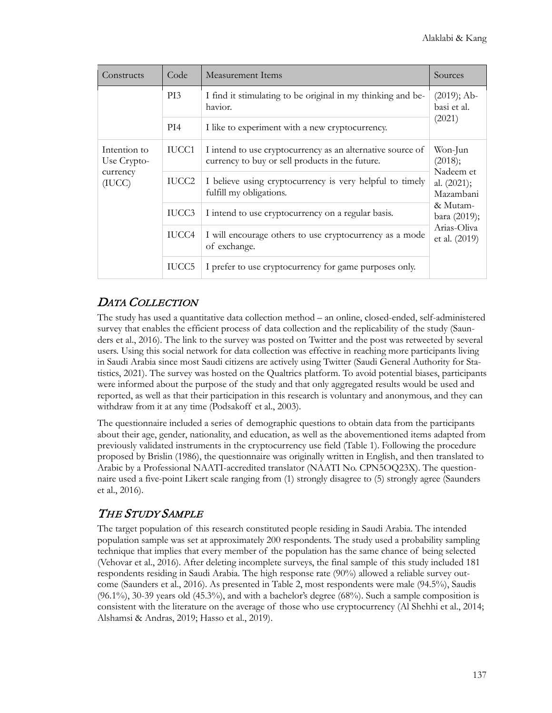| Constructs                                        | Code  | Measurement Items                                                                                             | Sources                                  |  |  |
|---------------------------------------------------|-------|---------------------------------------------------------------------------------------------------------------|------------------------------------------|--|--|
|                                                   | PI3   | I find it stimulating to be original in my thinking and be-<br>havior.                                        | $(2019)$ ; Ab-<br>basi et al.            |  |  |
|                                                   | PI4   | I like to experiment with a new cryptocurrency.                                                               | (2021)                                   |  |  |
| Intention to<br>Use Crypto-<br>currency<br>(IUCC) | IUCC1 | I intend to use cryptocurrency as an alternative source of<br>currency to buy or sell products in the future. | Won-Jun<br>(2018);                       |  |  |
|                                                   | IUCC2 | I believe using cryptocurrency is very helpful to timely<br>fulfill my obligations.                           | Nadeem et<br>al. $(2021)$ ;<br>Mazambani |  |  |
|                                                   | IUCC3 | I intend to use cryptocurrency on a regular basis.                                                            | & Mutam-<br>bara (2019);                 |  |  |
|                                                   | IUCC4 | I will encourage others to use cryptocurrency as a mode<br>of exchange.                                       | Arias-Oliva<br>et al. (2019)             |  |  |
|                                                   | IUCC5 | I prefer to use cryptocurrency for game purposes only.                                                        |                                          |  |  |

### DATA COLLECTION

The study has used a quantitative data collection method – an online, closed-ended, self-administered survey that enables the efficient process of data collection and the replicability of the study (Saunders et al., 2016). The link to the survey was posted on Twitter and the post was retweeted by several users. Using this social network for data collection was effective in reaching more participants living in Saudi Arabia since most Saudi citizens are actively using Twitter (Saudi General Authority for Statistics, 2021). The survey was hosted on the Qualtrics platform. To avoid potential biases, participants were informed about the purpose of the study and that only aggregated results would be used and reported, as well as that their participation in this research is voluntary and anonymous, and they can withdraw from it at any time (Podsakoff et al., 2003).

The questionnaire included a series of demographic questions to obtain data from the participants about their age, gender, nationality, and education, as well as the abovementioned items adapted from previously validated instruments in the cryptocurrency use field (Table 1). Following the procedure proposed by Brislin (1986), the questionnaire was originally written in English, and then translated to Arabic by a Professional NAATI-accredited translator (NAATI No. CPN5OQ23X). The questionnaire used a five-point Likert scale ranging from (1) strongly disagree to (5) strongly agree (Saunders et al., 2016).

### THE STUDY SAMPLE

The target population of this research constituted people residing in Saudi Arabia. The intended population sample was set at approximately 200 respondents. The study used a probability sampling technique that implies that every member of the population has the same chance of being selected (Vehovar et al., 2016). After deleting incomplete surveys, the final sample of this study included 181 respondents residing in Saudi Arabia. The high response rate (90%) allowed a reliable survey outcome (Saunders et al., 2016). As presented in Table 2, most respondents were male (94.5%), Saudis (96.1%), 30-39 years old (45.3%), and with a bachelor's degree (68%). Such a sample composition is consistent with the literature on the average of those who use cryptocurrency (Al Shehhi et al., 2014; Alshamsi & Andras, 2019; Hasso et al., 2019).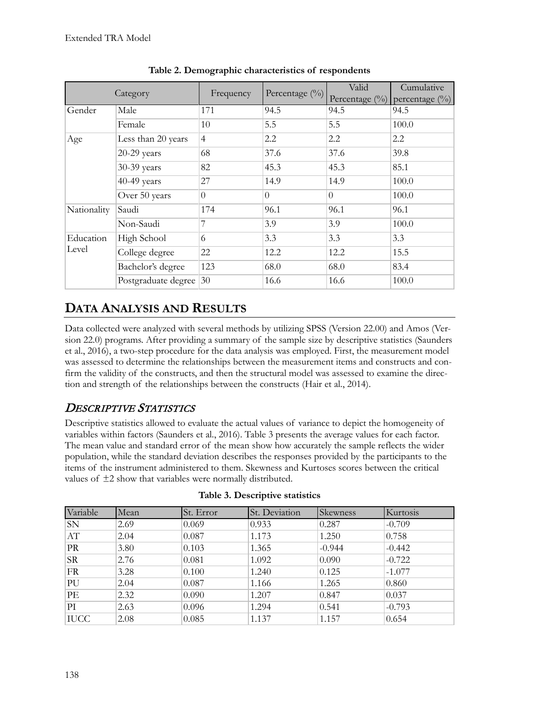|             | Category               | Frequency      | Percentage (%) | Valid<br>Percentage (%) | Cumulative<br>percentage $(\%)$ |
|-------------|------------------------|----------------|----------------|-------------------------|---------------------------------|
| Gender      | Male                   | 171            | 94.5           | 94.5                    | 94.5                            |
|             | Female                 | 10             | 5.5            | 5.5                     | 100.0                           |
| Age         | Less than 20 years     | $\overline{4}$ | 2.2            | 2.2                     | 2.2                             |
|             | $20-29$ years          | 68             | 37.6           | 37.6                    | 39.8                            |
|             | 30-39 years            | 82             | 45.3           | 45.3                    | 85.1                            |
|             | 40-49 years            | 27             | 14.9           | 14.9                    | 100.0                           |
|             | Over 50 years          | $\theta$       | $\theta$       | $\Omega$                | 100.0                           |
| Nationality | Saudi                  | 174            | 96.1           | 96.1                    | 96.1                            |
|             | Non-Saudi              | 7              | 3.9            | 3.9                     | 100.0                           |
| Education   | High School            | 6              | 3.3            | 3.3                     | 3.3                             |
| Level       | College degree         | 22             | 12.2           | 12.2                    | 15.5                            |
|             | Bachelor's degree      | 123            | 68.0           | 68.0                    | 83.4                            |
|             | Postgraduate degree 30 |                | 16.6           | 16.6                    | 100.0                           |

**Table 2. Demographic characteristics of respondents**

# **DATA ANALYSIS AND RESULTS**

Data collected were analyzed with several methods by utilizing SPSS (Version 22.00) and Amos (Version 22.0) programs. After providing a summary of the sample size by descriptive statistics (Saunders et al., 2016), a two-step procedure for the data analysis was employed. First, the measurement model was assessed to determine the relationships between the measurement items and constructs and confirm the validity of the constructs, and then the structural model was assessed to examine the direction and strength of the relationships between the constructs (Hair et al., 2014).

# DESCRIPTIVE STATISTICS

Descriptive statistics allowed to evaluate the actual values of variance to depict the homogeneity of variables within factors (Saunders et al., 2016). Table 3 presents the average values for each factor. The mean value and standard error of the mean show how accurately the sample reflects the wider population, while the standard deviation describes the responses provided by the participants to the items of the instrument administered to them. Skewness and Kurtoses scores between the critical values of ±2 show that variables were normally distributed.

| Variable    | Mean | St. Error | St. Deviation | Skewness | Kurtosis |
|-------------|------|-----------|---------------|----------|----------|
| SN          | 2.69 | 0.069     | 0.933         | 0.287    | $-0.709$ |
| AT          | 2.04 | 0.087     | 1.173         | 1.250    | 0.758    |
| <b>PR</b>   | 3.80 | 0.103     | 1.365         | $-0.944$ | $-0.442$ |
| <b>SR</b>   | 2.76 | 0.081     | 1.092         | 0.090    | $-0.722$ |
| FR          | 3.28 | 0.100     | 1.240         | 0.125    | $-1.077$ |
| PU          | 2.04 | 0.087     | 1.166         | 1.265    | 0.860    |
| PE          | 2.32 | 0.090     | 1.207         | 0.847    | 0.037    |
| PI          | 2.63 | 0.096     | 1.294         | 0.541    | $-0.793$ |
| <b>IUCC</b> | 2.08 | 0.085     | 1.137         | 1.157    | 0.654    |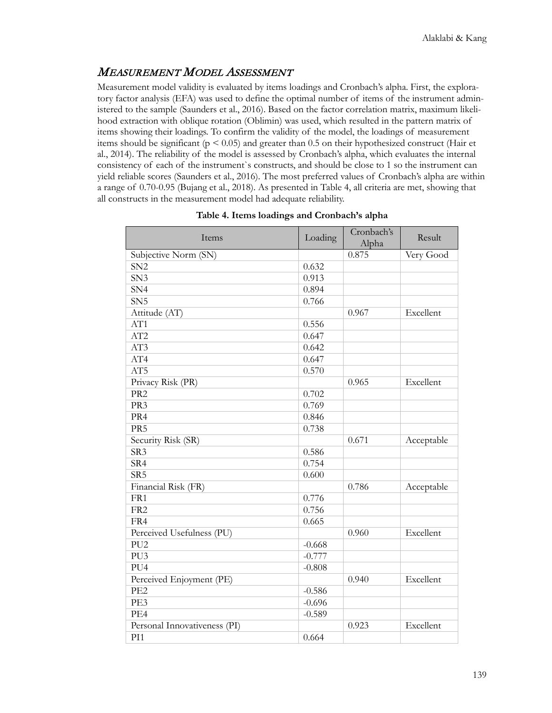### MEASUREMENT MODEL ASSESSMENT

Measurement model validity is evaluated by items loadings and Cronbach's alpha. First, the exploratory factor analysis (EFA) was used to define the optimal number of items of the instrument administered to the sample (Saunders et al., 2016). Based on the factor correlation matrix, maximum likelihood extraction with oblique rotation (Oblimin) was used, which resulted in the pattern matrix of items showing their loadings. To confirm the validity of the model, the loadings of measurement items should be significant (p < 0.05) and greater than 0.5 on their hypothesized construct (Hair et al., 2014). The reliability of the model is assessed by Cronbach's alpha, which evaluates the internal consistency of each of the instrument`s constructs, and should be close to 1 so the instrument can yield reliable scores (Saunders et al., 2016). The most preferred values of Cronbach's alpha are within a range of 0.70-0.95 (Bujang et al., 2018). As presented in Table 4, all criteria are met, showing that all constructs in the measurement model had adequate reliability.

| Items                        | Loading  | Cronbach's<br>Alpha | Result     |
|------------------------------|----------|---------------------|------------|
| Subjective Norm (SN)         |          | 0.875               | Very Good  |
| SN <sub>2</sub>              | 0.632    |                     |            |
| SN <sub>3</sub>              | 0.913    |                     |            |
| SN <sub>4</sub>              | 0.894    |                     |            |
| SN <sub>5</sub>              | 0.766    |                     |            |
| Attitude (AT)                |          | 0.967               | Excellent  |
| AT1                          | 0.556    |                     |            |
| AT2                          | 0.647    |                     |            |
| AT3                          | 0.642    |                     |            |
| AT4                          | 0.647    |                     |            |
| AT5                          | 0.570    |                     |            |
| Privacy Risk (PR)            |          | 0.965               | Excellent  |
| PR <sub>2</sub>              | 0.702    |                     |            |
| PR3                          | 0.769    |                     |            |
| PR4                          | 0.846    |                     |            |
| PR <sub>5</sub>              | 0.738    |                     |            |
| Security Risk (SR)           |          | 0.671               | Acceptable |
| SR <sub>3</sub>              | 0.586    |                     |            |
| SR4                          | 0.754    |                     |            |
| SR <sub>5</sub>              | 0.600    |                     |            |
| Financial Risk (FR)          |          | 0.786               | Acceptable |
| FR1                          | 0.776    |                     |            |
| FR <sub>2</sub>              | 0.756    |                     |            |
| FR4                          | 0.665    |                     |            |
| Perceived Usefulness (PU)    |          | 0.960               | Excellent  |
| PU2                          | $-0.668$ |                     |            |
| PU <sub>3</sub>              | $-0.777$ |                     |            |
| PU4                          | $-0.808$ |                     |            |
| Perceived Enjoyment (PE)     |          | 0.940               | Excellent  |
| PE <sub>2</sub>              | $-0.586$ |                     |            |
| PE3                          | $-0.696$ |                     |            |
| PE4                          | $-0.589$ |                     |            |
| Personal Innovativeness (PI) |          | 0.923               | Excellent  |
| PI1                          | 0.664    |                     |            |

**Table 4. Items loadings and Cronbach's alpha**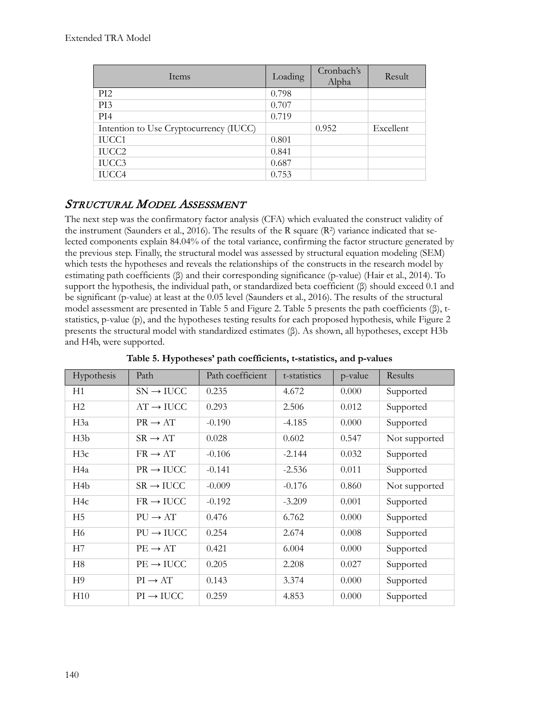| Items                                  | Loading | Cronbach's<br>Alpha | Result    |
|----------------------------------------|---------|---------------------|-----------|
| PI <sub>2</sub>                        | 0.798   |                     |           |
| PI3                                    | 0.707   |                     |           |
| PI4                                    | 0.719   |                     |           |
| Intention to Use Cryptocurrency (IUCC) |         | 0.952               | Excellent |
| IUCC1                                  | 0.801   |                     |           |
| IUCC2                                  | 0.841   |                     |           |
| IUCC3                                  | 0.687   |                     |           |
| IUCC4                                  | 0.753   |                     |           |

### STRUCTURAL MODEL ASSESSMENT

The next step was the confirmatory factor analysis (CFA) which evaluated the construct validity of the instrument (Saunders et al., 2016). The results of the R square  $(R^2)$  variance indicated that selected components explain 84.04% of the total variance, confirming the factor structure generated by the previous step. Finally, the structural model was assessed by structural equation modeling (SEM) which tests the hypotheses and reveals the relationships of the constructs in the research model by estimating path coefficients (β) and their corresponding significance (p-value) (Hair et al., 2014). To support the hypothesis, the individual path, or standardized beta coefficient (β) should exceed 0.1 and be significant (p-value) at least at the 0.05 level (Saunders et al., 2016). The results of the structural model assessment are presented in Table 5 and Figure 2. Table 5 presents the path coefficients (β), tstatistics, p-value (p), and the hypotheses testing results for each proposed hypothesis, while Figure 2 presents the structural model with standardized estimates (β). As shown, all hypotheses, except H3b and H4b, were supported.

| Hypothesis       | Path                  | Path coefficient | t-statistics | p-value | Results       |
|------------------|-----------------------|------------------|--------------|---------|---------------|
| H1               | $SN \rightarrow IUCC$ | 0.235            | 4.672        | 0.000   | Supported     |
| H <sub>2</sub>   | $AT \rightarrow IUCC$ | 0.293            | 2.506        | 0.012   | Supported     |
| H3a              | $PR \rightarrow AT$   | $-0.190$         | $-4.185$     | 0.000   | Supported     |
| H3b              | $SR \rightarrow AT$   | 0.028            | 0.602        | 0.547   | Not supported |
| H3c              | $FR \rightarrow AT$   | $-0.106$         | $-2.144$     | 0.032   | Supported     |
| H4a              | $PR \rightarrow IUCC$ | $-0.141$         | $-2.536$     | 0.011   | Supported     |
| H <sub>4</sub> b | $SR \rightarrow IUCC$ | $-0.009$         | $-0.176$     | 0.860   | Not supported |
| H <sub>4c</sub>  | $FR \rightarrow IUCC$ | $-0.192$         | $-3.209$     | 0.001   | Supported     |
| H <sub>5</sub>   | $PU \rightarrow AT$   | 0.476            | 6.762        | 0.000   | Supported     |
| H <sub>6</sub>   | $PU \rightarrow IUCC$ | 0.254            | 2.674        | 0.008   | Supported     |
| H7               | $PE \rightarrow AT$   | 0.421            | 6.004        | 0.000   | Supported     |
| H <sub>8</sub>   | $PE \rightarrow IUCC$ | 0.205            | 2.208        | 0.027   | Supported     |
| H <sub>9</sub>   | $PI \rightarrow AT$   | 0.143            | 3.374        | 0.000   | Supported     |
| H10              | $PI \rightarrow IUCC$ | 0.259            | 4.853        | 0.000   | Supported     |

**Table 5. Hypotheses' path coefficients, t-statistics, and p-values**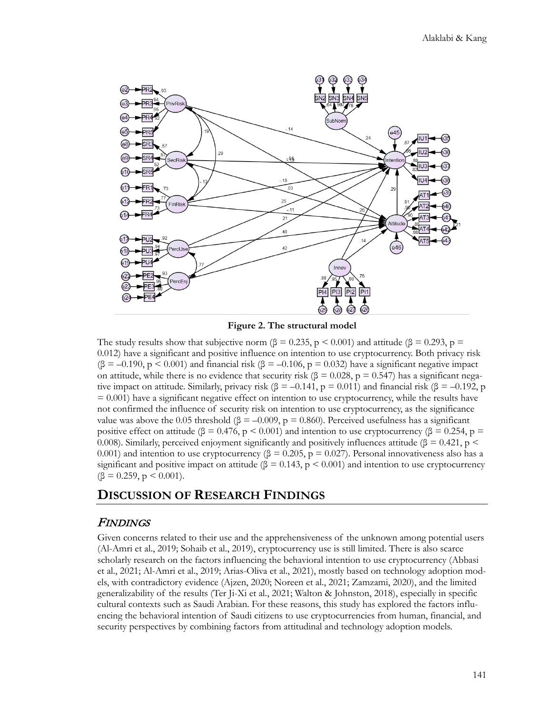

**Figure 2. The structural model**

The study results show that subjective norm ( $\beta = 0.235$ ,  $p < 0.001$ ) and attitude ( $\beta = 0.293$ ,  $p =$ 0.012) have a significant and positive influence on intention to use cryptocurrency. Both privacy risk  $(\beta = -0.190, p \le 0.001)$  and financial risk  $(\beta = -0.106, p = 0.032)$  have a significant negative impact on attitude, while there is no evidence that security risk ( $\beta = 0.028$ , p = 0.547) has a significant negative impact on attitude. Similarly, privacy risk ( $\beta$  = –0.141, p = 0.011) and financial risk ( $\beta$  = –0.192, p = 0.001) have a significant negative effect on intention to use cryptocurrency, while the results have not confirmed the influence of security risk on intention to use cryptocurrency, as the significance value was above the 0.05 threshold ( $\beta = -0.009$ ,  $p = 0.860$ ). Perceived usefulness has a significant positive effect on attitude ( $\beta = 0.476$ ,  $p < 0.001$ ) and intention to use cryptocurrency ( $\beta = 0.254$ ,  $p =$ 0.008). Similarly, perceived enjoyment significantly and positively influences attitude ( $\beta = 0.421$ , p < 0.001) and intention to use cryptocurrency ( $\beta = 0.205$ ,  $p = 0.027$ ). Personal innovativeness also has a significant and positive impact on attitude ( $\beta = 0.143$ , p < 0.001) and intention to use cryptocurrency  $(\beta = 0.259, p \le 0.001)$ .

### **DISCUSSION OF RESEARCH FINDINGS**

#### FINDINGS

Given concerns related to their use and the apprehensiveness of the unknown among potential users (Al-Amri et al., 2019; Sohaib et al., 2019), cryptocurrency use is still limited. There is also scarce scholarly research on the factors influencing the behavioral intention to use cryptocurrency (Abbasi et al., 2021; Al-Amri et al., 2019; Arias-Oliva et al., 2021), mostly based on technology adoption models, with contradictory evidence (Ajzen, 2020; Noreen et al., 2021; Zamzami, 2020), and the limited generalizability of the results (Ter Ji-Xi et al., 2021; Walton & Johnston, 2018), especially in specific cultural contexts such as Saudi Arabian. For these reasons, this study has explored the factors influencing the behavioral intention of Saudi citizens to use cryptocurrencies from human, financial, and security perspectives by combining factors from attitudinal and technology adoption models.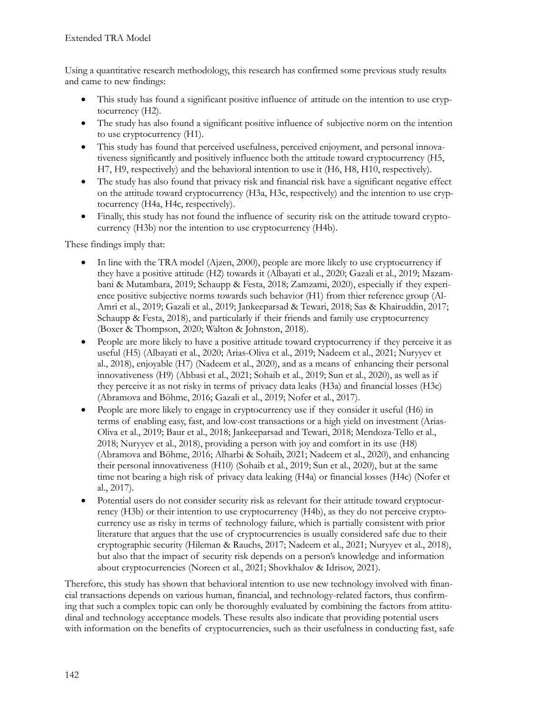Using a quantitative research methodology, this research has confirmed some previous study results and came to new findings:

- This study has found a significant positive influence of attitude on the intention to use cryptocurrency (H2).
- The study has also found a significant positive influence of subjective norm on the intention to use cryptocurrency (H1).
- This study has found that perceived usefulness, perceived enjoyment, and personal innovativeness significantly and positively influence both the attitude toward cryptocurrency (H5, H7, H9, respectively) and the behavioral intention to use it (H6, H8, H10, respectively).
- The study has also found that privacy risk and financial risk have a significant negative effect on the attitude toward cryptocurrency (H3a, H3c, respectively) and the intention to use cryptocurrency (H4a, H4c, respectively).
- Finally, this study has not found the influence of security risk on the attitude toward cryptocurrency (H3b) nor the intention to use cryptocurrency (H4b).

These findings imply that:

- In line with the TRA model (Ajzen, 2000), people are more likely to use cryptocurrency if they have a positive attitude (H2) towards it (Albayati et al., 2020; Gazali et al., 2019; Mazambani & Mutambara, 2019; Schaupp & Festa, 2018; Zamzami, 2020), especially if they experience positive subjective norms towards such behavior (H1) from thier reference group (Al-Amri et al., 2019; Gazali et al., 2019; Jankeeparsad & Tewari, 2018; Sas & Khairuddin, 2017; Schaupp & Festa, 2018), and particularly if their friends and family use cryptocurrency (Boxer & Thompson, 2020; Walton & Johnston, 2018).
- People are more likely to have a positive attitude toward cryptocurrency if they perceive it as useful (H5) (Albayati et al., 2020; Arias-Oliva et al., 2019; Nadeem et al., 2021; Nuryyev et al., 2018), enjoyable (H7) (Nadeem et al., 2020), and as a means of enhancing their personal innovativeness (H9) (Abbasi et al., 2021; Sohaib et al., 2019; Sun et al., 2020), as well as if they perceive it as not risky in terms of privacy data leaks (H3a) and financial losses (H3c) (Abramova and Böhme, 2016; Gazali et al., 2019; Nofer et al., 2017).
- People are more likely to engage in cryptocurrency use if they consider it useful (H6) in terms of enabling easy, fast, and low-cost transactions or a high yield on investment (Arias-Oliva et al., 2019; Baur et al., 2018; Jankeeparsad and Tewari, 2018; Mendoza-Tello et al., 2018; Nuryyev et al., 2018), providing a person with joy and comfort in its use (H8) (Abramova and Böhme, 2016; Alharbi & Sohaib, 2021; Nadeem et al., 2020), and enhancing their personal innovativeness (H10) (Sohaib et al., 2019; Sun et al., 2020), but at the same time not bearing a high risk of privacy data leaking (H4a) or financial losses (H4c) (Nofer et al., 2017).
- Potential users do not consider security risk as relevant for their attitude toward cryptocurrency (H3b) or their intention to use cryptocurrency (H4b), as they do not perceive cryptocurrency use as risky in terms of technology failure, which is partially consistent with prior literature that argues that the use of cryptocurrencies is usually considered safe due to their cryptographic security (Hileman & Rauchs, 2017; Nadeem et al., 2021; Nuryyev et al., 2018), but also that the impact of security risk depends on a person's knowledge and information about cryptocurrencies (Noreen et al., 2021; Shovkhalov & Idrisov, 2021).

Therefore, this study has shown that behavioral intention to use new technology involved with financial transactions depends on various human, financial, and technology-related factors, thus confirming that such a complex topic can only be thoroughly evaluated by combining the factors from attitudinal and technology acceptance models. These results also indicate that providing potential users with information on the benefits of cryptocurrencies, such as their usefulness in conducting fast, safe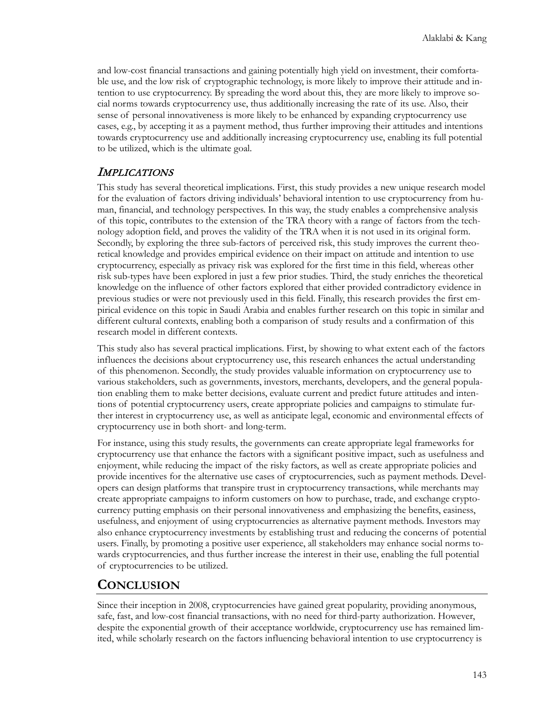and low-cost financial transactions and gaining potentially high yield on investment, their comfortable use, and the low risk of cryptographic technology, is more likely to improve their attitude and intention to use cryptocurrency. By spreading the word about this, they are more likely to improve social norms towards cryptocurrency use, thus additionally increasing the rate of its use. Also, their sense of personal innovativeness is more likely to be enhanced by expanding cryptocurrency use cases, e.g., by accepting it as a payment method, thus further improving their attitudes and intentions towards cryptocurrency use and additionally increasing cryptocurrency use, enabling its full potential to be utilized, which is the ultimate goal.

#### IMPLICATIONS

This study has several theoretical implications. First, this study provides a new unique research model for the evaluation of factors driving individuals' behavioral intention to use cryptocurrency from human, financial, and technology perspectives. In this way, the study enables a comprehensive analysis of this topic, contributes to the extension of the TRA theory with a range of factors from the technology adoption field, and proves the validity of the TRA when it is not used in its original form. Secondly, by exploring the three sub-factors of perceived risk, this study improves the current theoretical knowledge and provides empirical evidence on their impact on attitude and intention to use cryptocurrency, especially as privacy risk was explored for the first time in this field, whereas other risk sub-types have been explored in just a few prior studies. Third, the study enriches the theoretical knowledge on the influence of other factors explored that either provided contradictory evidence in previous studies or were not previously used in this field. Finally, this research provides the first empirical evidence on this topic in Saudi Arabia and enables further research on this topic in similar and different cultural contexts, enabling both a comparison of study results and a confirmation of this research model in different contexts.

This study also has several practical implications. First, by showing to what extent each of the factors influences the decisions about cryptocurrency use, this research enhances the actual understanding of this phenomenon. Secondly, the study provides valuable information on cryptocurrency use to various stakeholders, such as governments, investors, merchants, developers, and the general population enabling them to make better decisions, evaluate current and predict future attitudes and intentions of potential cryptocurrency users, create appropriate policies and campaigns to stimulate further interest in cryptocurrency use, as well as anticipate legal, economic and environmental effects of cryptocurrency use in both short- and long-term.

For instance, using this study results, the governments can create appropriate legal frameworks for cryptocurrency use that enhance the factors with a significant positive impact, such as usefulness and enjoyment, while reducing the impact of the risky factors, as well as create appropriate policies and provide incentives for the alternative use cases of cryptocurrencies, such as payment methods. Developers can design platforms that transpire trust in cryptocurrency transactions, while merchants may create appropriate campaigns to inform customers on how to purchase, trade, and exchange cryptocurrency putting emphasis on their personal innovativeness and emphasizing the benefits, easiness, usefulness, and enjoyment of using cryptocurrencies as alternative payment methods. Investors may also enhance cryptocurrency investments by establishing trust and reducing the concerns of potential users. Finally, by promoting a positive user experience, all stakeholders may enhance social norms towards cryptocurrencies, and thus further increase the interest in their use, enabling the full potential of cryptocurrencies to be utilized.

### **CONCLUSION**

Since their inception in 2008, cryptocurrencies have gained great popularity, providing anonymous, safe, fast, and low-cost financial transactions, with no need for third-party authorization. However, despite the exponential growth of their acceptance worldwide, cryptocurrency use has remained limited, while scholarly research on the factors influencing behavioral intention to use cryptocurrency is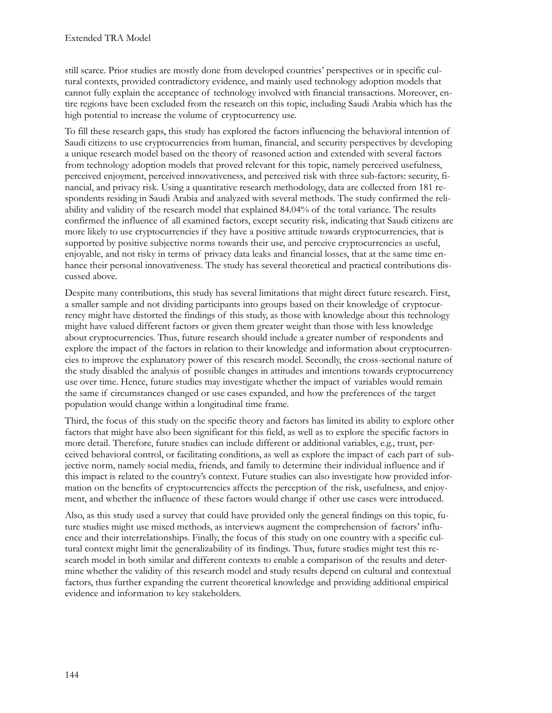still scarce. Prior studies are mostly done from developed countries' perspectives or in specific cultural contexts, provided contradictory evidence, and mainly used technology adoption models that cannot fully explain the acceptance of technology involved with financial transactions. Moreover, entire regions have been excluded from the research on this topic, including Saudi Arabia which has the high potential to increase the volume of cryptocurrency use.

To fill these research gaps, this study has explored the factors influencing the behavioral intention of Saudi citizens to use cryptocurrencies from human, financial, and security perspectives by developing a unique research model based on the theory of reasoned action and extended with several factors from technology adoption models that proved relevant for this topic, namely perceived usefulness, perceived enjoyment, perceived innovativeness, and perceived risk with three sub-factors: security, financial, and privacy risk. Using a quantitative research methodology, data are collected from 181 respondents residing in Saudi Arabia and analyzed with several methods. The study confirmed the reliability and validity of the research model that explained 84.04% of the total variance. The results confirmed the influence of all examined factors, except security risk, indicating that Saudi citizens are more likely to use cryptocurrencies if they have a positive attitude towards cryptocurrencies, that is supported by positive subjective norms towards their use, and perceive cryptocurrencies as useful, enjoyable, and not risky in terms of privacy data leaks and financial losses, that at the same time enhance their personal innovativeness. The study has several theoretical and practical contributions discussed above.

Despite many contributions, this study has several limitations that might direct future research. First, a smaller sample and not dividing participants into groups based on their knowledge of cryptocurrency might have distorted the findings of this study, as those with knowledge about this technology might have valued different factors or given them greater weight than those with less knowledge about cryptocurrencies. Thus, future research should include a greater number of respondents and explore the impact of the factors in relation to their knowledge and information about cryptocurrencies to improve the explanatory power of this research model. Secondly, the cross-sectional nature of the study disabled the analysis of possible changes in attitudes and intentions towards cryptocurrency use over time. Hence, future studies may investigate whether the impact of variables would remain the same if circumstances changed or use cases expanded, and how the preferences of the target population would change within a longitudinal time frame.

Third, the focus of this study on the specific theory and factors has limited its ability to explore other factors that might have also been significant for this field, as well as to explore the specific factors in more detail. Therefore, future studies can include different or additional variables, e.g., trust, perceived behavioral control, or facilitating conditions, as well as explore the impact of each part of subjective norm, namely social media, friends, and family to determine their individual influence and if this impact is related to the country's context. Future studies can also investigate how provided information on the benefits of cryptocurrencies affects the perception of the risk, usefulness, and enjoyment, and whether the influence of these factors would change if other use cases were introduced.

Also, as this study used a survey that could have provided only the general findings on this topic, future studies might use mixed methods, as interviews augment the comprehension of factors' influence and their interrelationships. Finally, the focus of this study on one country with a specific cultural context might limit the generalizability of its findings. Thus, future studies might test this research model in both similar and different contexts to enable a comparison of the results and determine whether the validity of this research model and study results depend on cultural and contextual factors, thus further expanding the current theoretical knowledge and providing additional empirical evidence and information to key stakeholders.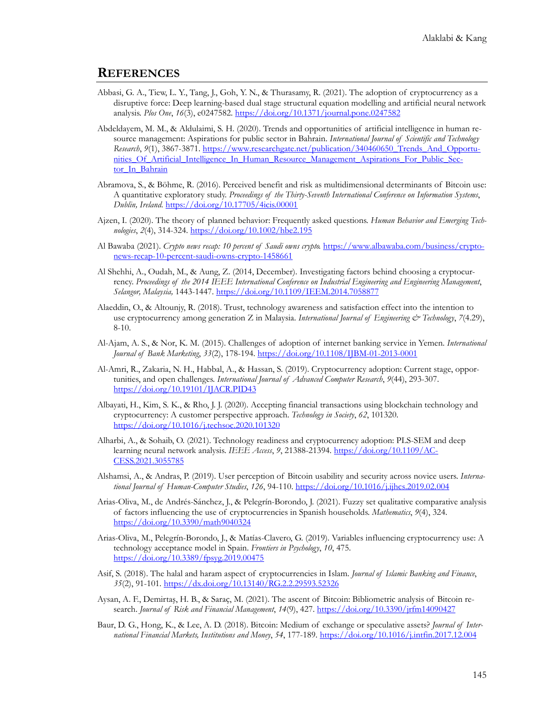#### **REFERENCES**

- Abbasi, G. A., Tiew, L. Y., Tang, J., Goh, Y. N., & Thurasamy, R. (2021). The adoption of cryptocurrency as a disruptive force: Deep learning-based dual stage structural equation modelling and artificial neural network analysis. *Plos One*, *16*(3), e0247582. <https://doi.org/10.1371/journal.pone.0247582>
- Abdeldayem, M. M., & Aldulaimi, S. H. (2020). Trends and opportunities of artificial intelligence in human resource management: Aspirations for public sector in Bahrain. *International Journal of Scientific and Technology Research*, *9*(1), 3867-3871. ht[tps://www.researchgate.net/publication/340460650\\_Trends\\_And\\_Opportu](https://www.researchgate.net/publication/340460650_Trends_And_Opportunities_Of_Artificial_Intelligence_In_Human_Resource_Management_Aspirations_For_Public_Sector_In_Bahrain)[nities\\_Of\\_Artificial\\_Intelligence\\_In\\_Human\\_Resource\\_Management\\_Aspirations\\_For\\_Public\\_Sec](https://www.researchgate.net/publication/340460650_Trends_And_Opportunities_Of_Artificial_Intelligence_In_Human_Resource_Management_Aspirations_For_Public_Sector_In_Bahrain)tor In Bahrain
- Abramova, S., & Böhme, R. (2016). Perceived benefit and risk as multidimensional determinants of Bitcoin use: A quantitative exploratory study. *Proceedings of the Thirty-Seventh International Conference on Information Systems*, *Dublin, Ireland.* <https://doi.org/10.17705/4icis.00001>
- Ajzen, I. (2020). The theory of planned behavior: Frequently asked questions. *Human Behavior and Emerging Technologies*, *2*(4), 314-324. <https://doi.org/10.1002/hbe2.195>
- Al Bawaba (2021). *Crypto news recap: 10 percent of Saudi owns crypto.* [https://www.albawaba.com/business/crypto](https://www.albawaba.com/business/crypto-news-recap-10-percent-saudi-owns-crypto-1458661)[news-recap-10-percent-saudi-owns-crypto-1458661](https://www.albawaba.com/business/crypto-news-recap-10-percent-saudi-owns-crypto-1458661)
- Al Shehhi, A., Oudah, M., & Aung, Z. (2014, December). Investigating factors behind choosing a cryptocurrency. *Proceedings of the 2014 IEEE International Conference on Industrial Engineering and Engineering Management*, *Selangor, Malaysia,* 1443-1447. <https://doi.org/10.1109/IEEM.2014.7058877>
- Alaeddin, O., & Altounjy, R. (2018). Trust, technology awareness and satisfaction effect into the intention to use cryptocurrency among generation Z in Malaysia. *International Journal of Engineering & Technology*, *7*(4.29), 8-10.
- Al-Ajam, A. S., & Nor, K. M. (2015). Challenges of adoption of internet banking service in Yemen. *International Journal of Bank Marketing*, *33*(2), 178-194. [https://doi.org/10.1108/IJBM-01-](https://doi.org/10.1108/IJBM-01-2013-0001)2013-0001
- Al-Amri, R., Zakaria, N. H., Habbal, A., & Hassan, S. (2019). Cryptocurrency adoption: Current stage, opportunities, and open challenges. *International Journal of Advanced Computer Research*, *9*(44), 293-307. <https://doi.org/10.19101/IJACR.PID43>
- Albayati, H., Kim, S. K., & Rho, J. J. (2020). Accepting financial transactions using blockchain technology and cryptocurrency: A customer perspective approach. *Technology in Society*, *62*, 101320. <https://doi.org/10.1016/j.techsoc.2020.101320>
- Alharbi, A., & Sohaib, O. (2021). Technology readiness and cryptocurrency adoption: PLS-SEM and deep learning neural network analysis. *IEEE Access*, 9, 21388-21394. [https://doi.org/10.1109/AC-](https://doi.org/10.1109/ACCESS.2021.3055785)[CESS.2021.3055785](https://doi.org/10.1109/ACCESS.2021.3055785)
- Alshamsi, A., & Andras, P. (2019). User perception of Bitcoin usability and security across novice users. *International Journal of Human-Computer Studies*, *126*, 94-110. <https://doi.org/10.1016/j.ijhcs.2019.02.004>
- Arias-Oliva, M., de Andrés-Sánchez, J., & Pelegrín-Borondo, J. (2021). Fuzzy set qualitative comparative analysis of factors influencing the use of cryptocurrencies in Spanish households. *Mathematics*, *9*(4), 324. <https://doi.org/10.3390/math9040324>
- Arias-Oliva, M., Pelegrín-Borondo, J., & Matías-Clavero, G. (2019). Variables influencing cryptocurrency use: A technology acceptance model in Spain. *Frontiers in Psychology*, *10*, 475. <https://doi.org/10.3389/fpsyg.2019.00475>
- Asif, S. (2018). The halal and haram aspect of cryptocurrencies in Islam. *Journal of Islamic Banking and Finance*, *35*(2), 91-101. <https://dx.doi.org/10.13140/RG.2.2.29593.52326>
- Aysan, A. F., Demirtaş, H. B., & Saraç, M. (2021). The ascent of Bitcoin: Bibliometric analysis of Bitcoin research. *Journal of Risk and Financial Management*, *14*(9), 427. <https://doi.org/10.3390/jrfm14090427>
- Baur, D. G., Hong, K., & Lee, A. D. (2018). Bitcoin: Medium of exchange or speculative assets? *Journal of International Financial Markets, Institutions and Money*, *54*, 177-189. <https://doi.org/10.1016/j.intfin.2017.12.004>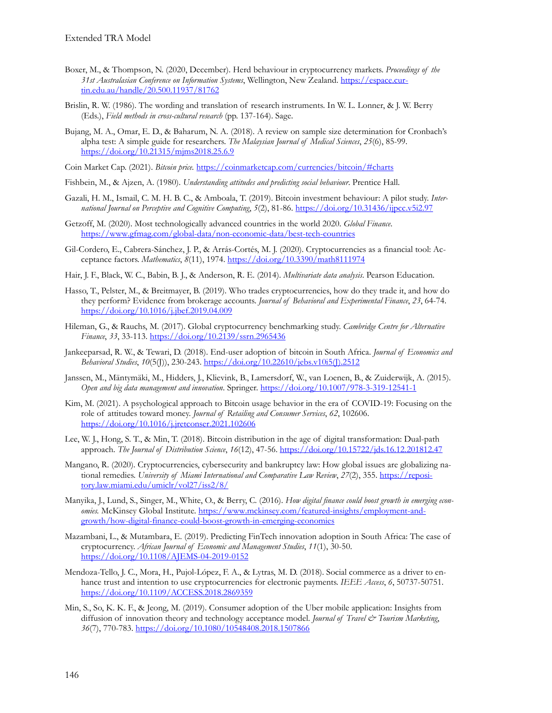- Boxer, M., & Thompson, N. (2020, December). Herd behaviour in cryptocurrency markets. *Proceedings of the 31st Australasian Conference on Information Systems*, Wellington, New Zealand. [https://espace.cur](https://espace.curtin.edu.au/handle/20.500.11937/81762)[tin.edu.au/handle/20.500.11937/81762](https://espace.curtin.edu.au/handle/20.500.11937/81762)
- Brislin, R. W. (1986). The wording and translation of research instruments. In W. L. Lonner, & J. W. Berry (Eds.), *Field methods in cross-cultural research* (pp. 137-164). Sage.
- Bujang, M. A., Omar, E. D., & Baharum, N. A. (2018). A review on sample size determination for Cronbach's alpha test: A simple guide for researchers. *The Malaysian Journal of Medical Sciences*, *25*(6), 85-99. <https://doi.org/10.21315/mjms2018.25.6.9>

Coin Market Cap. (2021). *Bitcoin price.* <https://coinmarketcap.com/currencies/bitcoin/#charts>

- Fishbein, M., & Ajzen, A. (1980). *Understanding attitudes and predicting social behaviour*. Prentice Hall.
- Gazali, H. M., Ismail, C. M. H. B. C., & Amboala, T. (2019). Bitcoin investment behaviour: A pilot study. *International Journal on Perceptive and Cognitive Computing*, *5*(2), 81-86. <https://doi.org/10.31436/ijpcc.v5i2.97>
- Getzoff, M. (2020). Most technologically advanced countries in the world 2020. *Global Finance*. <https://www.gfmag.com/global-data/non-economic-data/best-tech-countries>
- Gil-Cordero, E., Cabrera-Sánchez, J. P., & Arrás-Cortés, M. J. (2020). Cryptocurrencies as a financial tool: Acceptance factors. *Mathematics*, *8*(11), 1974. <https://doi.org/10.3390/math8111974>
- Hair, J. F., Black, W. C., Babin, B. J., & Anderson, R. E. (2014). *Multivariate data analysis*. Pearson Education.
- Hasso, T., Pelster, M., & Breitmayer, B. (2019). Who trades cryptocurrencies, how do they trade it, and how do they perform? Evidence from brokerage accounts. *Journal of Behavioral and Experimental Finance*, *23*, 64-74. <https://doi.org/10.1016/j.jbef.2019.04.009>
- Hileman, G., & Rauchs, M. (2017). Global cryptocurrency benchmarking study. *Cambridge Centre for Alternative Finance*, *33*, 33-113.<https://doi.org/10.2139/ssrn.2965436>
- Jankeeparsad, R. W., & Tewari, D. (2018). End-user adoption of bitcoin in South Africa. *Journal of Economics and Behavioral Studies*, *10*(5(J)), 230-243. [https://doi.org/10.22610/jebs.v10i5\(J\).2512](https://doi.org/10.22610/jebs.v10i5(J).2512)
- Janssen, M., Mäntymäki, M., Hidders, J., Klievink, B., Lamersdorf, W., van Loenen, B., & Zuiderwijk, A. (2015). *Open and big data management and innovation*. Springer. [https://doi.org/10.1007/978-](https://doi.org/10.1007/978-3-319-12541-1)3-319-12541-1
- Kim, M. (2021). A psychological approach to Bitcoin usage behavior in the era of COVID-19: Focusing on the role of attitudes toward money. *Journal of Retailing and Consumer Services*, *62*, 102606. <https://doi.org/10.1016/j.jretconser.2021.102606>
- Lee, W. J., Hong, S. T., & Min, T. (2018). Bitcoin distribution in the age of digital transformation: Dual-path approach. *The Journal of Distribution Science*, *16*(12), 47-56. <https://doi.org/10.15722/jds.16.12.201812.47>
- Mangano, R. (2020). Cryptocurrencies, cybersecurity and bankruptcy law: How global issues are globalizing national remedies. *University of Miami International and Comparative Law Review*, 27(2), 355. [https://reposi](https://repository.law.miami.edu/umiclr/vol27/iss2/8/)[tory.law.miami.edu/umiclr/vol27/iss2/8/](https://repository.law.miami.edu/umiclr/vol27/iss2/8/)
- Manyika, J., Lund, S., Singer, M., White, O., & Berry, C. (2016). *How digital finance could boost growth in emerging economies.* McKinsey Global Institute. [https://www.mckinsey.com/featured-insights/employment-and](https://www.mckinsey.com/featured-insights/employment-and-growth/how-digital-finance-could-boost-growth-in-emerging-economies)[growth/how-digital-finance-could-boost-growth-in-emerging-economies](https://www.mckinsey.com/featured-insights/employment-and-growth/how-digital-finance-could-boost-growth-in-emerging-economies)
- Mazambani, L., & Mutambara, E. (2019). Predicting FinTech innovation adoption in South Africa: The case of cryptocurrency. *African Journal of Economic and Management Studies*, *11*(1), 30-50. <https://doi.org/10.1108/AJEMS-04-2019-0152>
- Mendoza-Tello, J. C., Mora, H., Pujol-López, F. A., & Lytras, M. D. (2018). Social commerce as a driver to enhance trust and intention to use cryptocurrencies for electronic payments. *IEEE Access*, *6*, 50737-50751. <https://doi.org/10.1109/ACCESS.2018.2869359>
- Min, S., So, K. K. F., & Jeong, M. (2019). Consumer adoption of the Uber mobile application: Insights from diffusion of innovation theory and technology acceptance model. *Journal of Travel & Tourism Marketing*, *36*(7), 770-783. <https://doi.org/10.1080/10548408.2018.1507866>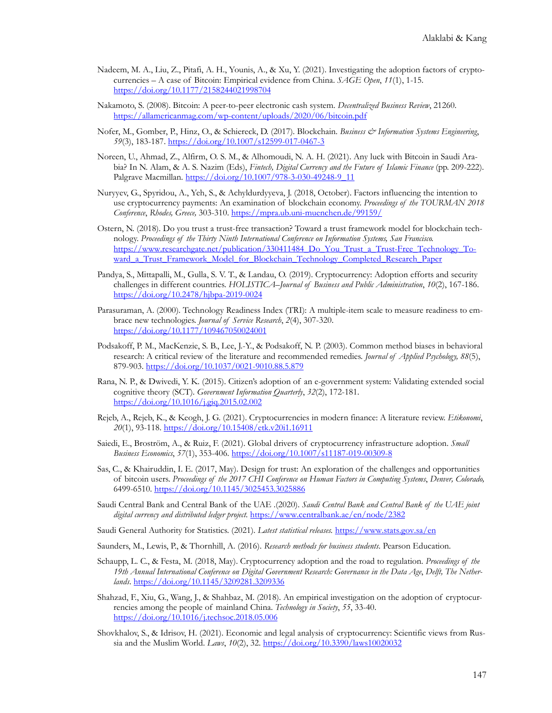- Nadeem, M. A., Liu, Z., Pitafi, A. H., Younis, A., & Xu, Y. (2021). Investigating the adoption factors of cryptocurrencies – A case of Bitcoin: Empirical evidence from China. *SAGE Open*, *11*(1), 1-15. <https://doi.org/10.1177/2158244021998704>
- Nakamoto, S. (2008). Bitcoin: A peer-to-peer electronic cash system. *Decentralized Business Review*, 21260. <https://allamericanmag.com/wp-content/uploads/2020/06/bitcoin.pdf>
- Nofer, M., Gomber, P., Hinz, O., & Schiereck, D. (2017). Blockchain. *Business & Information Systems Engineering*, *59*(3), 183-187. [https://doi.org/10.1007/s12599-017-0467-](https://doi.org/10.1007/s12599-017-0467-3)3
- Noreen, U., Ahmad, Z., Alfirm, O. S. M., & Alhomoudi, N. A. H. (2021). Any luck with Bitcoin in Saudi Arabia? In N. Alam, & A. S. Nazim (Eds), *Fintech, Digital Currency and the Future of Islamic Finance* (pp. 209-222). Palgrave Macmillan. [https://doi.org/10.1007/978-](https://doi.org/10.1007/978-3-030-49248-9_11)3-030-49248-9\_11
- Nuryyev, G., Spyridou, A., Yeh, S., & Achyldurdyyeva, J. (2018, October). Factors influencing the intention to use cryptocurrency payments: An examination of blockchain economy. *Proceedings of the TOURMAN 2018 Conference*, *Rhodes, Greece,* 303-310. <https://mpra.ub.uni-muenchen.de/99159/>
- Ostern, N. (2018). Do you trust a trust-free transaction? Toward a trust framework model for blockchain technology. *Proceedings of the Thirty Ninth International Conference on Information Systems, San Francisco.* [https://www.researchgate.net/publication/330411484\\_Do\\_You\\_Trust\\_a\\_Trust](https://www.researchgate.net/publication/330411484_Do_You_Trust_a_Trust-Free_Technology_Toward_a_Trust_Framework_Model_for_Blockchain_Technology_Completed_Research_Paper)-Free\_Technology\_Toward a Trust Framework Model for Blockchain Technology Completed Research Paper
- Pandya, S., Mittapalli, M., Gulla, S. V. T., & Landau, O. (2019). Cryptocurrency: Adoption efforts and security challenges in different countries. *HOLISTICA–Journal of Business and Public Administration*, *10*(2), 167-186. <https://doi.org/10.2478/hjbpa-2019-0024>
- Parasuraman, A. (2000). Technology Readiness Index (TRI): A multiple-item scale to measure readiness to embrace new technologies. *Journal of Service Research*, *2*(4), 307-320. <https://doi.org/10.1177/109467050024001>
- Podsakoff, P. M., MacKenzie, S. B., Lee, J.-Y., & Podsakoff, N. P. (2003). Common method biases in behavioral research: A critical review of the literature and recommended remedies. *Journal of Applied Psychology, 88*(5), 879-903. [https://doi.org/10.1037/0021](https://doi.org/10.1037/0021-9010.88.5.879)-9010.88.5.879
- Rana, N. P., & Dwivedi, Y. K. (2015). Citizen's adoption of an e-government system: Validating extended social cognitive theory (SCT). *Government Information Quarterly*, *32*(2), 172-181. <https://doi.org/10.1016/j.giq.2015.02.002>
- Rejeb, A., Rejeb, K., & Keogh, J. G. (2021). Cryptocurrencies in modern finance: A literature review. *Etikonomi*, *20*(1), 93-118. <https://doi.org/10.15408/etk.v20i1.16911>
- Saiedi, E., Broström, A., & Ruiz, F. (2021). Global drivers of cryptocurrency infrastructure adoption. *Small Business Economics*, *57*(1), 353-406. [https://doi.org/10.1007/s11187-019-](https://doi.org/10.1007/s11187-019-00309-8)00309-8
- Sas, C., & Khairuddin, I. E. (2017, May). Design for trust: An exploration of the challenges and opportunities of bitcoin users. *Proceedings of the 2017 CHI Conference on Human Factors in Computing Systems*, *Denver, Colorado,* 6499-6510. <https://doi.org/10.1145/3025453.3025886>
- Saudi Central Bank and Central Bank of the UAE .(2020). *Saudi Central Bank and Central Bank of the UAE joint digital currency and distributed ledger project.* <https://www.centralbank.ae/en/node/2382>
- Saudi General Authority for Statistics. (2021). *Latest statistical releases.* <https://www.stats.gov.sa/en>
- Saunders, M., Lewis, P., & Thornhill, A. (2016). *Research methods for business students*. Pearson Education.
- Schaupp, L. C., & Festa, M. (2018, May). Cryptocurrency adoption and the road to regulation. *Proceedings of the 19th Annual International Conference on Digital Government Research: Governance in the Data Age*, *Delft, The Netherlands*. <https://doi.org/10.1145/3209281.3209336>
- Shahzad, F., Xiu, G., Wang, J., & Shahbaz, M. (2018). An empirical investigation on the adoption of cryptocurrencies among the people of mainland China. *Technology in Society*, *55*, 33-40. <https://doi.org/10.1016/j.techsoc.2018.05.006>
- Shovkhalov, S., & Idrisov, H. (2021). Economic and legal analysis of cryptocurrency: Scientific views from Russia and the Muslim World. *Laws*, *10*(2), 32. <https://doi.org/10.3390/laws10020032>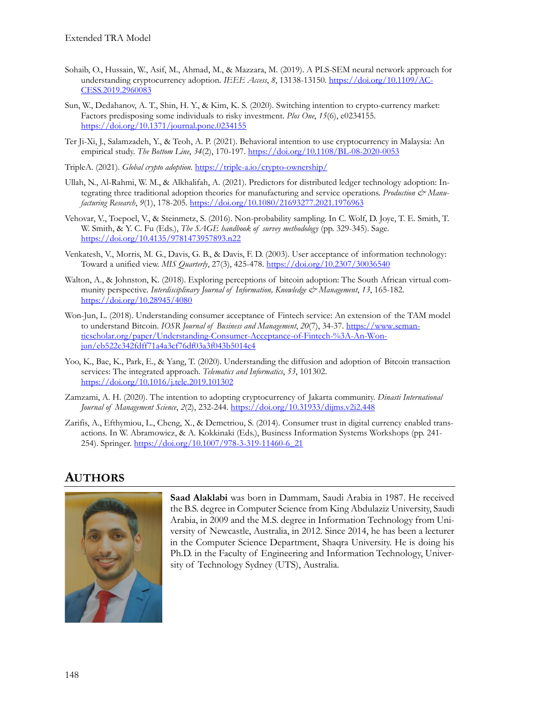- Sohaib, O., Hussain, W., Asif, M., Ahmad, M., & Mazzara, M. (2019). A PLS-SEM neural network approach for understanding cryptocurrency adoption. *IEEE Access*, *8*, 13138-13150. [https://doi.org/10.1109/AC-](https://doi.org/10.1109/ACCESS.2019.2960083)[CESS.2019.2960083](https://doi.org/10.1109/ACCESS.2019.2960083)
- Sun, W., Dedahanov, A. T., Shin, H. Y., & Kim, K. S. (2020). Switching intention to crypto-currency market: Factors predisposing some individuals to risky investment. *Plos One*, *15*(6), e0234155. <https://doi.org/10.1371/journal.pone.0234155>
- Ter Ji-Xi, J., Salamzadeh, Y., & Teoh, A. P. (2021). Behavioral intention to use cryptocurrency in Malaysia: An empirical study. *The Bottom Line*, *34*(2), 170-197. [https://doi.org/10.1108/BL-08-2020-](https://doi.org/10.1108/BL-08-2020-0053)0053
- TripleA. (2021). *Global crypto adoption.* <https://triple-a.io/crypto-ownership/>
- Ullah, N., Al-Rahmi, W. M., & Alkhalifah, A. (2021). Predictors for distributed ledger technology adoption: Integrating three traditional adoption theories for manufacturing and service operations. *Production & Manufacturing Research*, *9*(1), 178-205. <https://doi.org/10.1080/21693277.2021.1976963>
- Vehovar, V., Toepoel, V., & Steinmetz, S. (2016). Non-probability sampling. In C. Wolf, D. Joye, T. E. Smith, T. W. Smith, & Y. C. Fu (Eds.), *The SAGE handbook of survey methodology* (pp. 329-345). Sage. <https://doi.org/10.4135/9781473957893.n22>
- Venkatesh, V., Morris, M. G., Davis, G. B., & Davis, F. D. (2003). User acceptance of information technology: Toward a unified view. *MIS Quarterly*, 27(3), 425-478. <https://doi.org/10.2307/30036540>
- Walton, A., & Johnston, K. (2018). Exploring perceptions of bitcoin adoption: The South African virtual community perspective. *Interdisciplinary Journal of Information, Knowledge & Management*, *13*, 165-182. <https://doi.org/10.28945/4080>
- Won-Jun, L. (2018). Understanding consumer acceptance of Fintech service: An extension of the TAM model to understand Bitcoin. *IOSR Journal of Business and Management*, *20*(7), 34-37. [https://www.seman](https://www.semanticscholar.org/paper/Understanding-Consumer-Acceptance-of-Fintech-%3A-An-Won-jun/eb522c342fdff71a4a3cf76df03a3f043b5014c4)[ticscholar.org/paper/Understanding-Consumer-Acceptance-of-Fintech-](https://www.semanticscholar.org/paper/Understanding-Consumer-Acceptance-of-Fintech-%3A-An-Won-jun/eb522c342fdff71a4a3cf76df03a3f043b5014c4)%3A-An-Won[jun/eb522c342fdff71a4a3cf76df03a3f043b5014c4](https://www.semanticscholar.org/paper/Understanding-Consumer-Acceptance-of-Fintech-%3A-An-Won-jun/eb522c342fdff71a4a3cf76df03a3f043b5014c4)
- Yoo, K., Bae, K., Park, E., & Yang, T. (2020). Understanding the diffusion and adoption of Bitcoin transaction services: The integrated approach. *Telematics and Informatics*, *53*, 101302. <https://doi.org/10.1016/j.tele.2019.101302>
- Zamzami, A. H. (2020). The intention to adopting cryptocurrency of Jakarta community. *Dinasti International Journal of Management Science*, *2*(2), 232-244. <https://doi.org/10.31933/dijms.v2i2.448>
- Zarifis, A., Efthymiou, L., Cheng, X., & Demetriou, S. (2014). Consumer trust in digital currency enabled transactions. In W. Abramowicz, & A. Kokkinaki (Eds.), Business Information Systems Workshops (pp. 241- 254). Springer[. https://doi.org/10.1007/978-](https://doi.org/10.1007/978-3-319-11460-6_21)3-319-11460-6\_21

### **AUTHORS**



**Saad Alaklabi** was born in Dammam, Saudi Arabia in 1987. He received the B.S. degree in Computer Science from King Abdulaziz University, Saudi Arabia, in 2009 and the M.S. degree in Information Technology from University of Newcastle, Australia, in 2012. Since 2014, he has been a lecturer in the Computer Science Department, Shaqra University. He is doing his Ph.D. in the Faculty of Engineering and Information Technology, University of Technology Sydney (UTS), Australia.